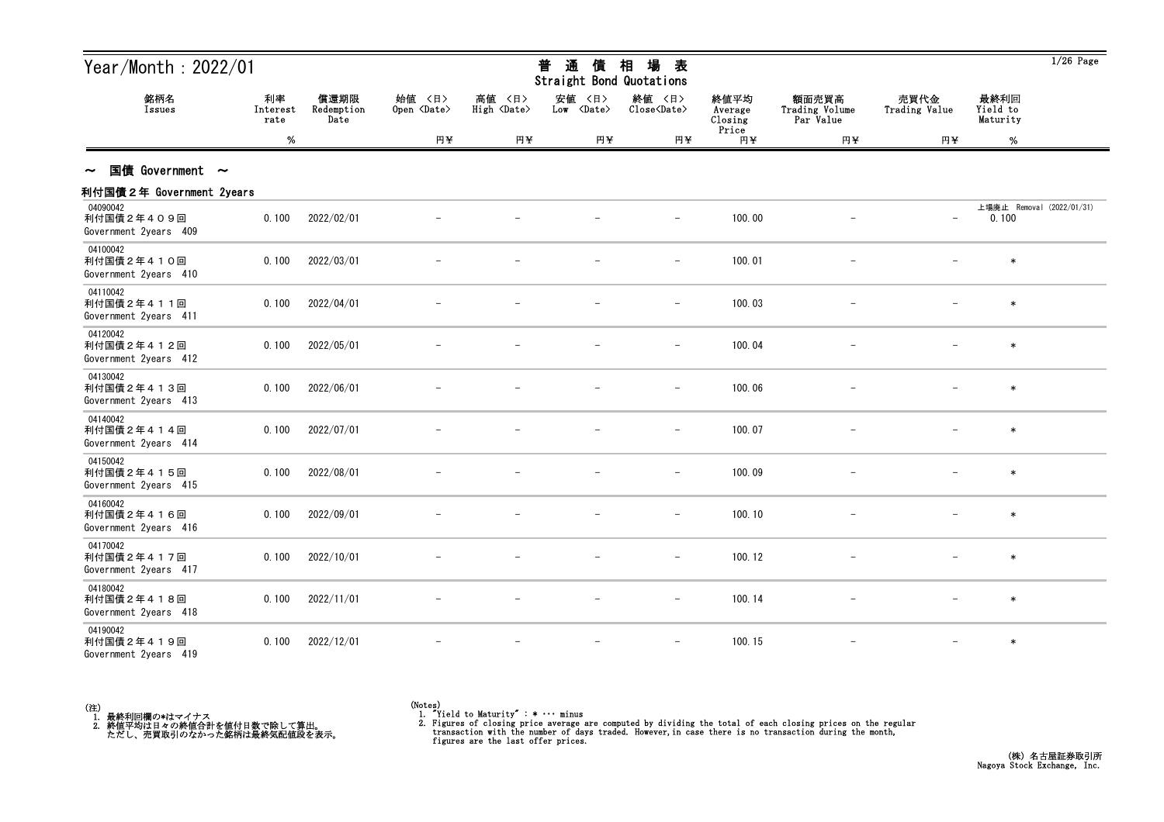| Year/Month: 2022/01<br>銘柄名<br>利率                |                  |                            |                              |                                 |                                                         | $1/26$ Page                   |                            |                                      |                          |                              |                           |
|-------------------------------------------------|------------------|----------------------------|------------------------------|---------------------------------|---------------------------------------------------------|-------------------------------|----------------------------|--------------------------------------|--------------------------|------------------------------|---------------------------|
| Issues                                          | Interest<br>rate | 償還期限<br>Redemption<br>Date | 始值 〈日〉<br>Open <date></date> | 高値<br>〈日〉<br>High <date></date> | Straight Bond Quotations<br>安値 〈日〉<br>Low <date></date> | 終値 〈日〉<br>Close <date></date> | 終値平均<br>Average<br>Closing | 額面売買高<br>Trading Volume<br>Par Value | 売買代金<br>Trading Value    | 最終利回<br>Yield to<br>Maturity |                           |
|                                                 | %                |                            | 円半                           | 円半                              | 円半                                                      | 円半                            | Price<br>円半                | 円半                                   | 円半                       | $\%$                         |                           |
| 国債 Government $\sim$<br>$\sim$                  |                  |                            |                              |                                 |                                                         |                               |                            |                                      |                          |                              |                           |
| 利付国債2年 Government 2years                        |                  |                            |                              |                                 |                                                         |                               |                            |                                      |                          |                              |                           |
| 04090042<br>利付国債2年409回<br>Government 2years 409 | 0.100            | 2022/02/01                 |                              |                                 |                                                         | $\overline{\phantom{m}}$      | 100.00                     |                                      | $\overline{\phantom{0}}$ | 0.100                        | 上場廃止 Removal (2022/01/31) |
| 04100042<br>利付国債2年410回<br>Government 2years 410 | 0.100            | 2022/03/01                 |                              |                                 |                                                         | $\qquad \qquad -$             | 100.01                     |                                      |                          | $\ast$                       |                           |
| 04110042<br>利付国債2年411回<br>Government 2years 411 | 0.100            | 2022/04/01                 |                              |                                 |                                                         | $\qquad \qquad -$             | 100.03                     |                                      |                          | $\ast$                       |                           |
| 04120042<br>利付国債2年412回<br>Government 2years 412 | 0.100            | 2022/05/01                 |                              |                                 |                                                         | $\overline{\phantom{a}}$      | 100.04                     |                                      |                          | $\ast$                       |                           |
| 04130042<br>利付国債2年413回<br>Government 2years 413 | 0.100            | 2022/06/01                 |                              |                                 |                                                         | $\qquad \qquad -$             | 100.06                     |                                      |                          | $\ast$                       |                           |
| 04140042<br>利付国債2年414回<br>Government 2years 414 | 0.100            | 2022/07/01                 |                              |                                 |                                                         | $\overline{\phantom{a}}$      | 100.07                     |                                      |                          | $\ast$                       |                           |
| 04150042<br>利付国債2年415回<br>Government 2years 415 | 0.100            | 2022/08/01                 |                              |                                 |                                                         | $\overline{\phantom{a}}$      | 100.09                     |                                      |                          | $\ast$                       |                           |
| 04160042<br>利付国債2年416回<br>Government 2years 416 | 0.100            | 2022/09/01                 |                              |                                 |                                                         | $-$                           | 100.10                     |                                      |                          | $\ast$                       |                           |
| 04170042<br>利付国債2年417回<br>Government 2years 417 | 0.100            | 2022/10/01                 |                              |                                 |                                                         |                               | 100.12                     |                                      |                          |                              |                           |
| 04180042<br>利付国債2年418回<br>Government 2years 418 | 0.100            | 2022/11/01                 |                              |                                 |                                                         | $\qquad \qquad -$             | 100.14                     |                                      |                          | $\ast$                       |                           |
| 04190042<br>利付国債2年419回<br>Government 2years 419 | 0.100            | 2022/12/01                 |                              |                                 |                                                         | $\qquad \qquad -$             | 100.15                     |                                      | $\overline{\phantom{m}}$ | $\ast$                       |                           |



<sup>(</sup>Notes) 1. "Yield to Maturity" : \* ・・・ minus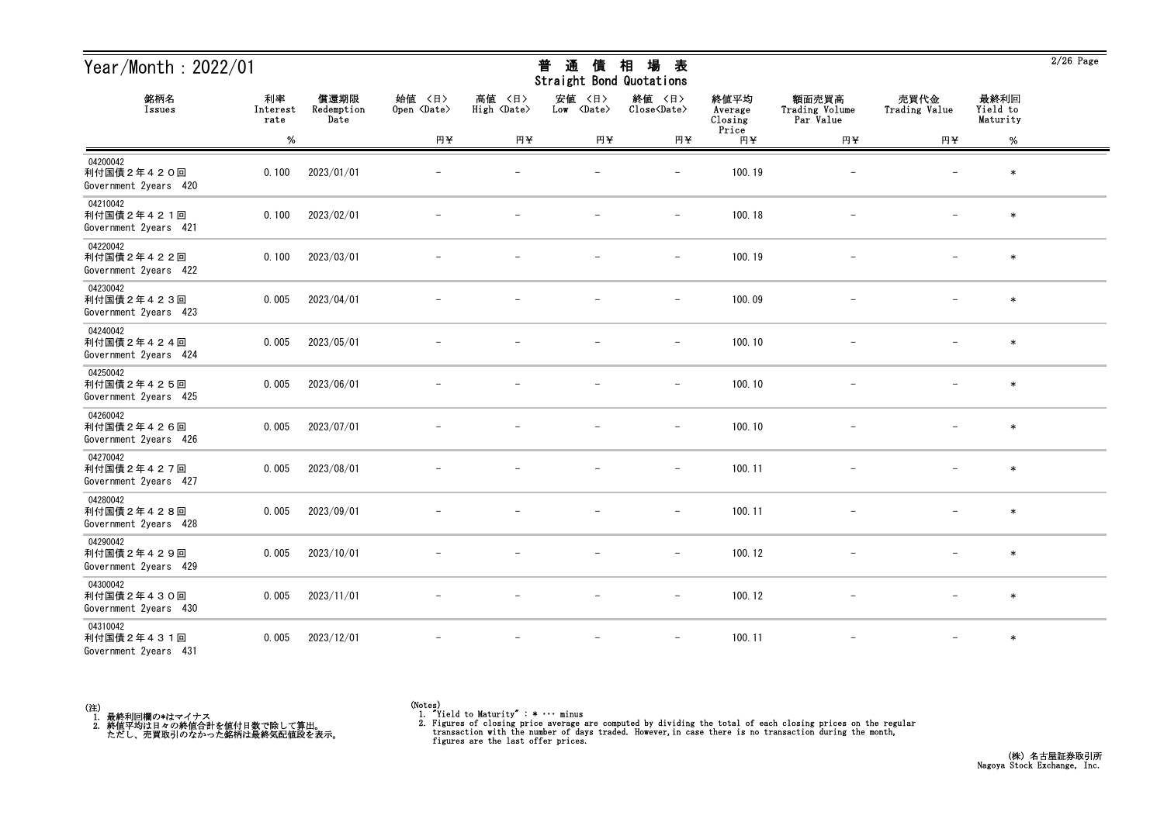| Year/Month: 2022/01                             |                        |                            |                              |                              | 通<br>普<br>債<br>Straight Bond Quotations | 場<br>相<br>表                   |                            |                                      |                          |                              | $2/26$ Page |
|-------------------------------------------------|------------------------|----------------------------|------------------------------|------------------------------|-----------------------------------------|-------------------------------|----------------------------|--------------------------------------|--------------------------|------------------------------|-------------|
| 銘柄名<br>Issues                                   | 利率<br>Interest<br>rate | 償還期限<br>Redemption<br>Date | 始値 〈日〉<br>Open <date></date> | 高値 〈日〉<br>High <date></date> | 安値<br>〈日〉<br>Low <date></date>          | 終値 〈日〉<br>Close <date></date> | 終値平均<br>Average<br>Closing | 額面売買高<br>Trading Volume<br>Par Value | 売買代金<br>Trading Value    | 最終利回<br>Yield to<br>Maturity |             |
|                                                 | $\%$                   |                            | 円半                           | 円半                           | 円半                                      | 円半                            | Price<br>円半                | 円半                                   | 円半                       | $\%$                         |             |
| 04200042<br>利付国債2年420回<br>Government 2years 420 | 0.100                  | 2023/01/01                 |                              |                              |                                         |                               | 100.19                     |                                      |                          | $\ast$                       |             |
| 04210042<br>利付国債2年421回<br>Government 2years 421 | 0.100                  | 2023/02/01                 |                              |                              |                                         | $\qquad \qquad -$             | 100.18                     | $\overline{\phantom{m}}$             |                          | $\ast$                       |             |
| 04220042<br>利付国債2年422回<br>Government 2years 422 | 0.100                  | 2023/03/01                 |                              |                              |                                         | $\overline{\phantom{m}}$      | 100.19                     |                                      |                          | $\ast$                       |             |
| 04230042<br>利付国債2年423回<br>Government 2years 423 | 0.005                  | 2023/04/01                 |                              |                              |                                         | $\overline{\phantom{a}}$      | 100.09                     |                                      |                          | $\ast$                       |             |
| 04240042<br>利付国債2年424回<br>Government 2years 424 | 0.005                  | 2023/05/01                 |                              |                              |                                         | $\overline{\phantom{m}}$      | 100.10                     |                                      |                          | $\ast$                       |             |
| 04250042<br>利付国債2年425回<br>Government 2years 425 | 0.005                  | 2023/06/01                 |                              |                              |                                         | $\overline{\phantom{m}}$      | 100.10                     | $\overline{\phantom{m}}$             |                          | $\ast$                       |             |
| 04260042<br>利付国債2年426回<br>Government 2years 426 | 0.005                  | 2023/07/01                 |                              |                              |                                         | $\overline{\phantom{a}}$      | 100.10                     |                                      |                          | $\ast$                       |             |
| 04270042<br>利付国債2年427回<br>Government 2years 427 | 0.005                  | 2023/08/01                 |                              |                              |                                         | $\overline{\phantom{a}}$      | 100.11                     |                                      |                          | $\ast$                       |             |
| 04280042<br>利付国債2年428回<br>Government 2years 428 | 0.005                  | 2023/09/01                 |                              |                              |                                         |                               | 100.11                     |                                      |                          | $\ast$                       |             |
| 04290042<br>利付国債2年429回<br>Government 2years 429 | 0.005                  | 2023/10/01                 |                              |                              | $\overline{\phantom{m}}$                | $\overline{\phantom{m}}$      | 100.12                     | $\overline{\phantom{m}}$             | $\overline{\phantom{m}}$ | $\ast$                       |             |
| 04300042<br>利付国債2年430回<br>Government 2years 430 | 0.005                  | 2023/11/01                 | $\overline{\phantom{m}}$     | $\overline{\phantom{m}}$     | $\overline{\phantom{m}}$                | $ \,$                         | 100.12                     | $-$                                  | $-$                      | $\ast$                       |             |
| 04310042<br>利付国債2年431回<br>Government 2years 431 | 0.005                  | 2023/12/01                 |                              | $\overline{\phantom{m}}$     | $\overline{\phantom{m}}$                | $-$                           | 100.11                     | $\overline{\phantom{m}}$             | $-$                      | $\ast$                       |             |



<sup>(</sup>Notes) 1. "Yield to Maturity" : \* ・・・ minus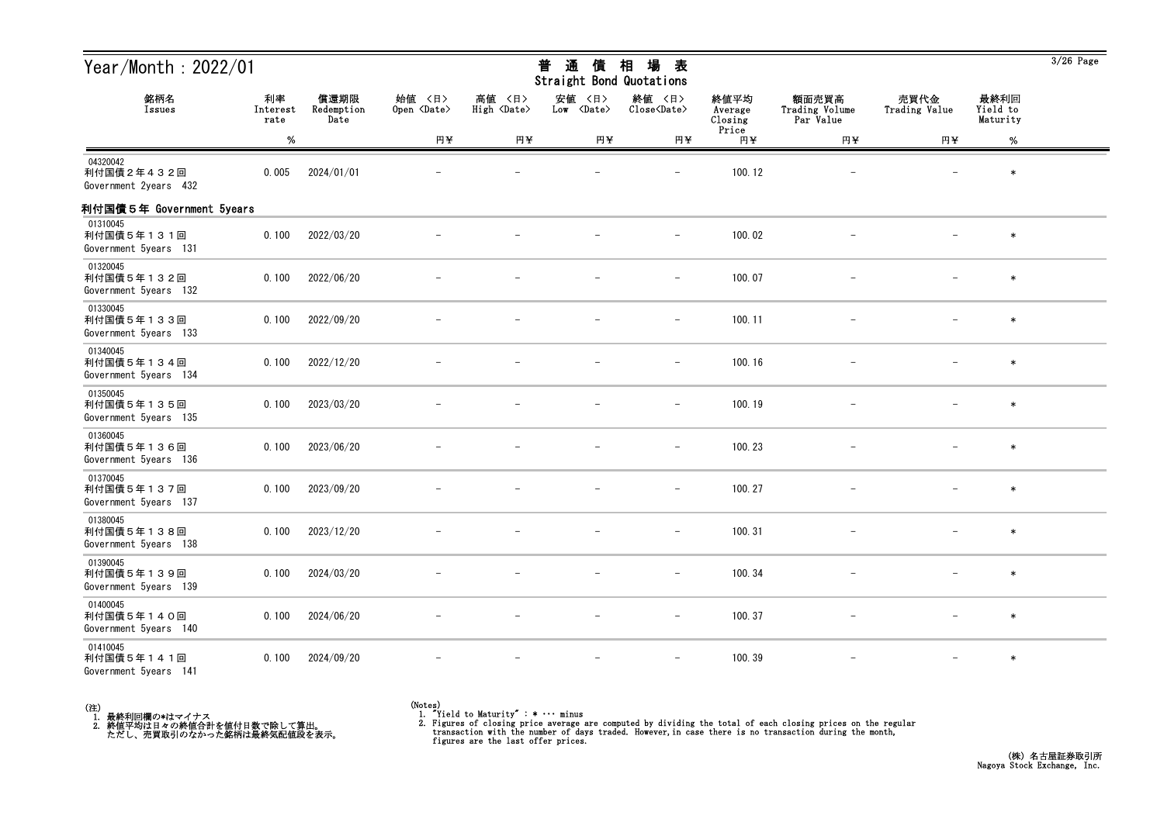| Year/Month: 2022/01                             |                        |                            |                              |                              | 普<br>通<br>債<br>Straight Bond Quotations | 場<br>相<br>表                   |                                     |                                      |                          |                              | $3/26$ Page |
|-------------------------------------------------|------------------------|----------------------------|------------------------------|------------------------------|-----------------------------------------|-------------------------------|-------------------------------------|--------------------------------------|--------------------------|------------------------------|-------------|
| 銘柄名<br>Issues                                   | 利率<br>Interest<br>rate | 償還期限<br>Redemption<br>Date | 始値 〈日〉<br>Open <date></date> | 高値 〈日〉<br>High <date></date> | 安値<br>〈日〉<br>Low <date></date>          | 終値 〈日〉<br>Close <date></date> | 終値平均<br>Average<br>Closing<br>Price | 額面売買高<br>Trading Volume<br>Par Value | 売買代金<br>Trading Value    | 最終利回<br>Yield to<br>Maturity |             |
|                                                 | %                      |                            | 円半                           | 円半                           | 円半                                      | 円半                            | 円半                                  | 円半                                   | 円半                       | $\%$                         |             |
| 04320042<br>利付国債2年432回<br>Government 2years 432 | 0.005                  | 2024/01/01                 |                              |                              |                                         | $\overline{\phantom{0}}$      | 100.12                              |                                      |                          | $\ast$                       |             |
| 利付国債5年 Government 5years                        |                        |                            |                              |                              |                                         |                               |                                     |                                      |                          |                              |             |
| 01310045<br>利付国債5年131回<br>Government 5years 131 | 0.100                  | 2022/03/20                 |                              |                              |                                         | $\overline{\phantom{m}}$      | 100.02                              |                                      |                          | $\ast$                       |             |
| 01320045<br>利付国債5年132回<br>Government 5years 132 | 0.100                  | 2022/06/20                 |                              |                              |                                         | $\overline{\phantom{m}}$      | 100.07                              |                                      |                          | $\ast$                       |             |
| 01330045<br>利付国債5年133回<br>Government 5years 133 | 0.100                  | 2022/09/20                 |                              |                              |                                         | $\overline{\phantom{m}}$      | 100.11                              |                                      | $\overline{\phantom{m}}$ | $\ast$                       |             |
| 01340045<br>利付国債5年134回<br>Government 5years 134 | 0.100                  | 2022/12/20                 |                              |                              |                                         |                               | 100.16                              |                                      |                          | $\ast$                       |             |
| 01350045<br>利付国債5年135回<br>Government 5years 135 | 0.100                  | 2023/03/20                 |                              |                              |                                         | $\overline{\phantom{m}}$      | 100.19                              |                                      |                          | $\ast$                       |             |
| 01360045<br>利付国債5年136回<br>Government 5years 136 | 0.100                  | 2023/06/20                 |                              |                              |                                         | $\overline{\phantom{m}}$      | 100.23                              |                                      |                          | $\ast$                       |             |
| 01370045<br>利付国債5年137回<br>Government 5years 137 | 0.100                  | 2023/09/20                 |                              |                              |                                         | $\overline{\phantom{m}}$      | 100.27                              |                                      |                          | $\ast$                       |             |
| 01380045<br>利付国債5年138回<br>Government 5years 138 | 0.100                  | 2023/12/20                 |                              |                              |                                         |                               | 100.31                              |                                      |                          | $\ast$                       |             |
| 01390045<br>利付国債5年139回<br>Government 5years 139 | 0.100                  | 2024/03/20                 |                              |                              |                                         | $\qquad \qquad -$             | 100.34                              |                                      | $-$                      | $\ast$                       |             |
| 01400045<br>利付国債5年140回<br>Government 5years 140 | 0.100                  | 2024/06/20                 |                              |                              |                                         | $\overline{\phantom{m}}$      | 100.37                              |                                      | $\qquad \qquad -$        | $\ast$                       |             |
| 01410045<br>利付国債5年141回<br>Government 5years 141 | 0.100                  | 2024/09/20                 |                              |                              |                                         | $\overline{\phantom{m}}$      | 100.39                              |                                      | $-$                      | $\ast$                       |             |



<sup>(</sup>Notes) 1. "Yield to Maturity" : \* ・・・ minus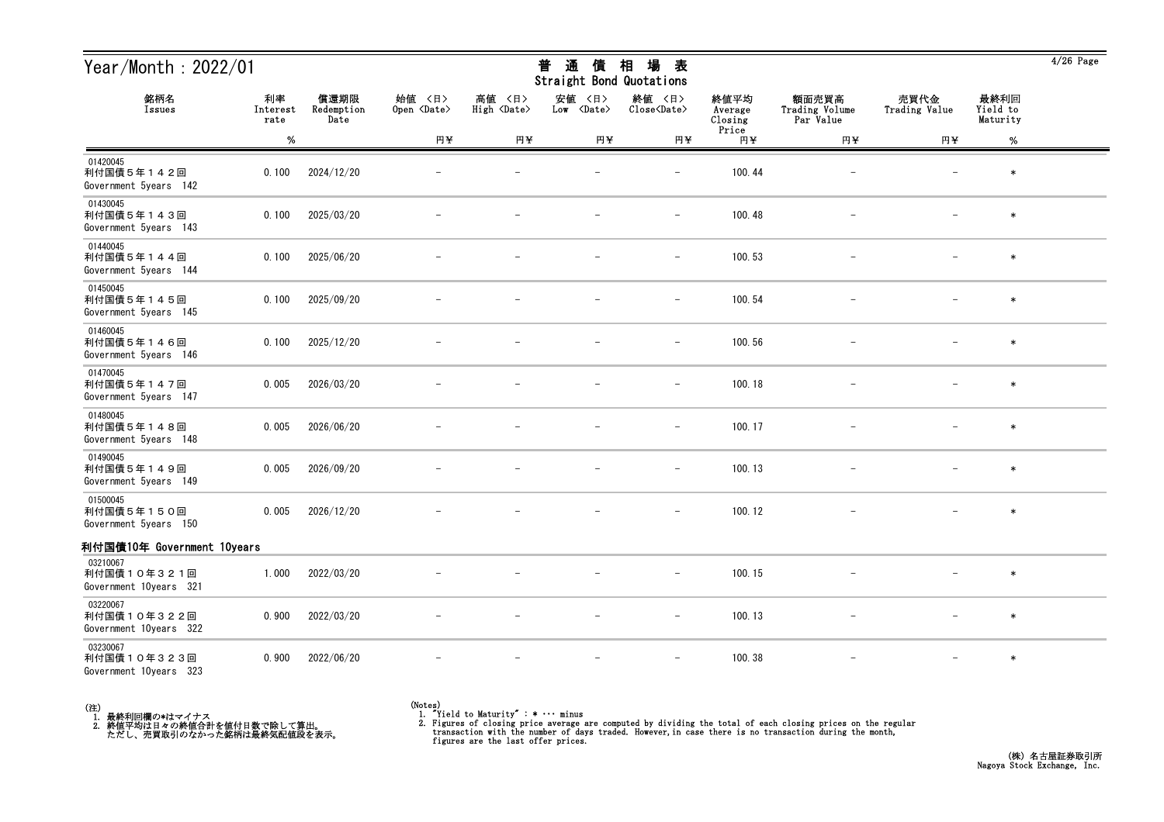| Year/Month : 2022/01                              |                        |                            |                              |                              | 普<br>通<br>債<br>Straight Bond Quotations | 場<br>相<br>表                   |                                     |                                      |                       |                              | 4/26 Page |
|---------------------------------------------------|------------------------|----------------------------|------------------------------|------------------------------|-----------------------------------------|-------------------------------|-------------------------------------|--------------------------------------|-----------------------|------------------------------|-----------|
| 銘柄名<br>Issues                                     | 利率<br>Interest<br>rate | 償還期限<br>Redemption<br>Date | 始値 〈日〉<br>Open <date></date> | 高値 〈日〉<br>High <date></date> | 安値<br>〈日〉<br>Low <date></date>          | 終値 〈日〉<br>Close <date></date> | 終値平均<br>Average<br>Closing<br>Price | 額面売買高<br>Trading Volume<br>Par Value | 売買代金<br>Trading Value | 最終利回<br>Yield to<br>Maturity |           |
|                                                   | $\%$                   |                            | 円半                           | 円半                           | 円半                                      | 円半                            | 円半                                  | 円半                                   | 円半                    | $\%$                         |           |
| 01420045<br>利付国債5年142回<br>Government 5years 142   | 0.100                  | 2024/12/20                 |                              |                              |                                         | $\qquad \qquad -$             | 100.44                              |                                      |                       | $\ast$                       |           |
| 01430045<br>利付国債5年143回<br>Government 5years 143   | 0.100                  | 2025/03/20                 |                              |                              |                                         | $\overline{\phantom{0}}$      | 100.48                              |                                      |                       | $\ast$                       |           |
| 01440045<br>利付国債5年144回<br>Government 5years 144   | 0.100                  | 2025/06/20                 |                              |                              |                                         |                               | 100.53                              |                                      |                       | $\ast$                       |           |
| 01450045<br>利付国債5年145回<br>Government 5years 145   | 0.100                  | 2025/09/20                 |                              |                              |                                         | $\qquad \qquad -$             | 100.54                              | $\overline{\phantom{0}}$             |                       | $\ast$                       |           |
| 01460045<br>利付国債5年146回<br>Government 5years 146   | 0.100                  | 2025/12/20                 |                              |                              |                                         | $\overline{\phantom{m}}$      | 100.56                              |                                      |                       | $\ast$                       |           |
| 01470045<br>利付国債5年147回<br>Government 5years 147   | 0.005                  | 2026/03/20                 |                              |                              |                                         | $\overline{\phantom{a}}$      | 100.18                              |                                      |                       | $\ast$                       |           |
| 01480045<br>利付国債5年148回<br>Government 5years 148   | 0.005                  | 2026/06/20                 |                              |                              |                                         | $\overline{\phantom{a}}$      | 100.17                              |                                      |                       | $\ast$                       |           |
| 01490045<br>利付国債5年149回<br>Government 5years 149   | 0.005                  | 2026/09/20                 |                              |                              |                                         | $\overline{\phantom{a}}$      | 100.13                              |                                      |                       | $\ast$                       |           |
| 01500045<br>利付国債5年150回<br>Government 5years 150   | 0.005                  | 2026/12/20                 |                              |                              |                                         | $\overline{\phantom{m}}$      | 100.12                              |                                      |                       | $\ast$                       |           |
| 利付国債10年 Government 10years                        |                        |                            |                              |                              |                                         |                               |                                     |                                      |                       |                              |           |
| 03210067<br>利付国債10年321回<br>Government 10years 321 | 1.000                  | 2022/03/20                 |                              |                              |                                         | $\overline{\phantom{0}}$      | 100.15                              |                                      |                       | $\ast$                       |           |
| 03220067<br>利付国債10年322回<br>Government 10years 322 | 0.900                  | 2022/03/20                 |                              |                              |                                         | $\qquad \qquad -$             | 100.13                              |                                      |                       | $\ast$                       |           |
| 03230067<br>利付国債10年323回<br>Government 10years 323 | 0.900                  | 2022/06/20                 |                              |                              |                                         | $-$                           | 100.38                              | $\qquad \qquad -$                    |                       | $\ast$                       |           |



## (Notes) 1. "Yield to Maturity" : \* ・・・ minus

2. Figures of closing price average are computed by dividing the total of each closing prices on the regular transaction with the number of days traded. However, in case there is no transaction during the month, figures ar

 $\frac{1}{2}$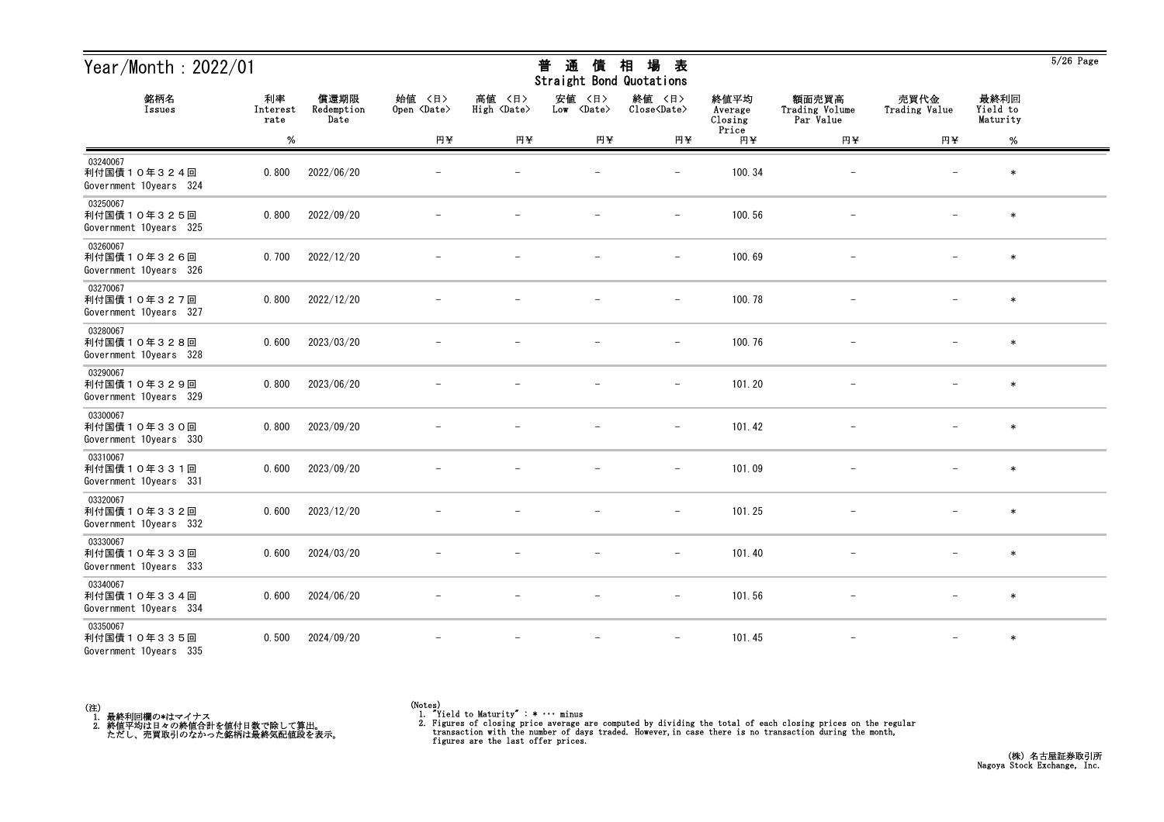| Year/Month: $2022/01$<br>銘柄名<br>利率<br>償還期限        |                  |                    | 通<br>相<br>場<br>普<br>債<br>表<br><b>Straight Bond Quotations</b> |                                 |                                |                               |                            |                                      | $5/26$ Page              |                              |  |
|---------------------------------------------------|------------------|--------------------|---------------------------------------------------------------|---------------------------------|--------------------------------|-------------------------------|----------------------------|--------------------------------------|--------------------------|------------------------------|--|
| Issues                                            | Interest<br>rate | Redemption<br>Date | 始值 〈日〉<br>Open <date></date>                                  | 高値<br>〈日〉<br>High <date></date> | 安値<br>〈日〉<br>Low <date></date> | 終値 〈日〉<br>Close <date></date> | 終値平均<br>Average<br>Closing | 額面売買高<br>Trading Volume<br>Par Value | 売買代金<br>Trading Value    | 最終利回<br>Yield to<br>Maturity |  |
|                                                   | $\%$             |                    | 円半                                                            | 円半                              | 円半                             | 円半                            | Price<br>円半                | 円半                                   | 円半                       | %                            |  |
| 03240067<br>利付国債10年324回<br>Government 10years 324 | 0.800            | 2022/06/20         |                                                               |                                 |                                | $\overline{\phantom{0}}$      | 100.34                     |                                      |                          | $\ast$                       |  |
| 03250067<br>利付国債10年325回<br>Government 10years 325 | 0.800            | 2022/09/20         |                                                               |                                 |                                | $\overline{\phantom{m}}$      | 100.56                     |                                      |                          | $\ast$                       |  |
| 03260067<br>利付国債10年326回<br>Government 10years 326 | 0.700            | 2022/12/20         |                                                               |                                 |                                | $\overline{\phantom{m}}$      | 100.69                     |                                      |                          | $\ast$                       |  |
| 03270067<br>利付国債10年327回<br>Government 10years 327 | 0.800            | 2022/12/20         |                                                               |                                 |                                | $\overline{\phantom{m}}$      | 100.78                     |                                      |                          | $\ast$                       |  |
| 03280067<br>利付国債10年328回<br>Government 10years 328 | 0.600            | 2023/03/20         |                                                               |                                 |                                | $\qquad \qquad -$             | 100.76                     |                                      |                          | $\ast$                       |  |
| 03290067<br>利付国債10年329回<br>Government 10years 329 | 0.800            | 2023/06/20         |                                                               |                                 |                                | $\overline{\phantom{m}}$      | 101.20                     |                                      |                          | $\ast$                       |  |
| 03300067<br>利付国債10年330回<br>Government 10years 330 | 0.800            | 2023/09/20         |                                                               |                                 |                                | $\overline{\phantom{a}}$      | 101.42                     |                                      |                          | $\ast$                       |  |
| 03310067<br>利付国債10年331回<br>Government 10years 331 | 0.600            | 2023/09/20         |                                                               |                                 |                                |                               | 101.09                     |                                      |                          | $\ast$                       |  |
| 03320067<br>利付国債10年332回<br>Government 10years 332 | 0.600            | 2023/12/20         |                                                               |                                 |                                | $\overline{\phantom{0}}$      | 101.25                     |                                      |                          | $\ast$                       |  |
| 03330067<br>利付国債10年333回<br>Government 10years 333 | 0.600            | 2024/03/20         |                                                               |                                 |                                | $\qquad \qquad -$             | 101.40                     |                                      | $\overline{\phantom{m}}$ | $\ast$                       |  |
| 03340067<br>利付国債10年334回<br>Government 10years 334 | 0.600            | 2024/06/20         | $\qquad \qquad -$                                             |                                 | $\overline{\phantom{m}}$       | $ \,$                         | 101.56                     | $\overline{\phantom{0}}$             | $-$                      | $\ast$                       |  |
| 03350067<br>利付国債10年335回<br>Government 10years 335 | 0.500            | 2024/09/20         |                                                               |                                 |                                |                               | 101.45                     | $\qquad \qquad -$                    | $\overline{\phantom{0}}$ | $\ast$                       |  |



<sup>(</sup>Notes) 1. "Yield to Maturity" : \* ・・・ minus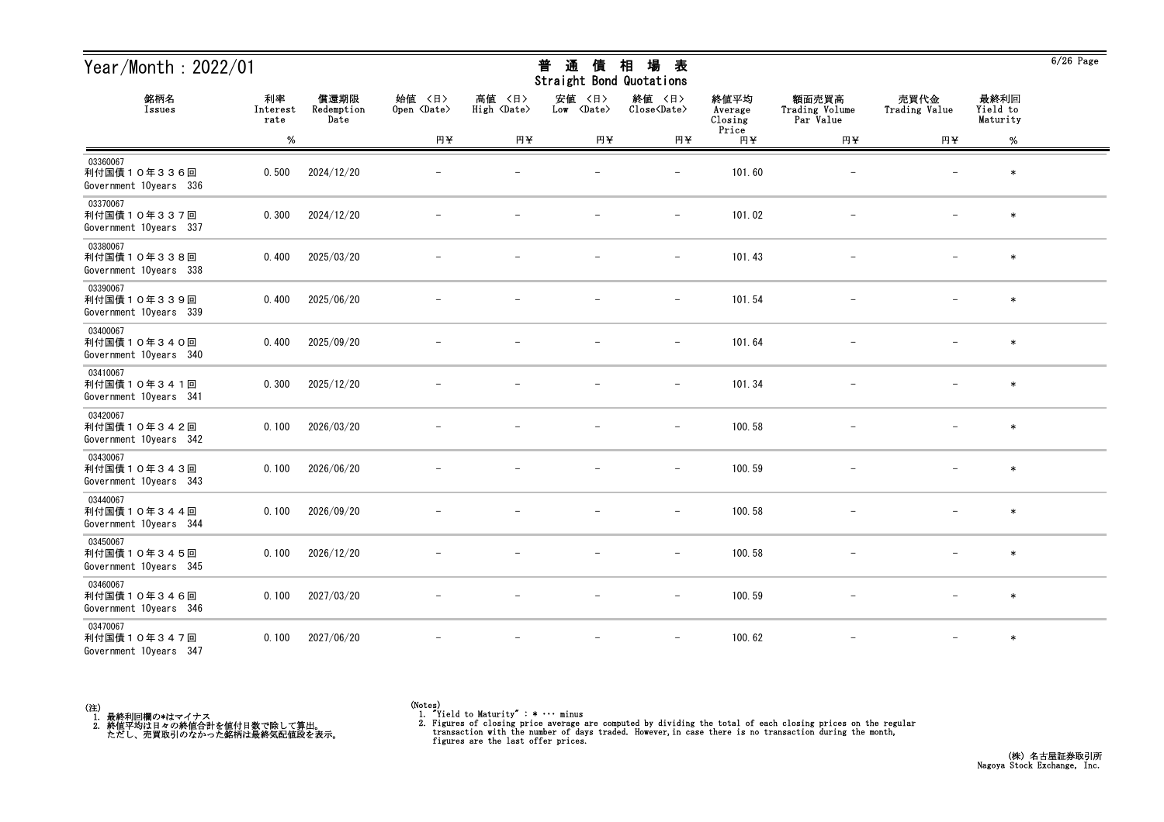| Year/Month: 2022/01                               |                        |                            | 通<br>場<br>普<br>相<br>表<br>債<br>Straight Bond Quotations |                              |                                |                               |                            |                                      |                          |                              | $6/26$ Page |
|---------------------------------------------------|------------------------|----------------------------|--------------------------------------------------------|------------------------------|--------------------------------|-------------------------------|----------------------------|--------------------------------------|--------------------------|------------------------------|-------------|
| 銘柄名<br>Issues                                     | 利率<br>Interest<br>rate | 償還期限<br>Redemption<br>Date | 始值 〈日〉<br>Open <date></date>                           | 高値 〈日〉<br>High <date></date> | 安値<br>〈日〉<br>Low <date></date> | 終値 〈日〉<br>Close <date></date> | 終値平均<br>Average<br>Closing | 額面売買高<br>Trading Volume<br>Par Value | 売買代金<br>Trading Value    | 最終利回<br>Yield to<br>Maturity |             |
|                                                   | $\%$                   |                            | 円半                                                     | 円半                           | 円半                             | 円半                            | Price<br>円半                | 円半                                   | 円半                       | $\%$                         |             |
| 03360067<br>利付国債10年336回<br>Government 10years 336 | 0.500                  | 2024/12/20                 |                                                        |                              |                                | $\qquad \qquad -$             | 101.60                     |                                      |                          | $\ast$                       |             |
| 03370067<br>利付国債10年337回<br>Government 10years 337 | 0.300                  | 2024/12/20                 |                                                        |                              |                                | $\qquad \qquad -$             | 101.02                     |                                      |                          | $\ast$                       |             |
| 03380067<br>利付国債10年338回<br>Government 10years 338 | 0.400                  | 2025/03/20                 |                                                        |                              |                                | $\qquad \qquad -$             | 101.43                     |                                      |                          | $\ast$                       |             |
| 03390067<br>利付国債10年339回<br>Government 10years 339 | 0.400                  | 2025/06/20                 |                                                        |                              |                                | $\overline{\phantom{m}}$      | 101.54                     |                                      |                          | $\ast$                       |             |
| 03400067<br>利付国債10年340回<br>Government 10years 340 | 0.400                  | 2025/09/20                 |                                                        |                              |                                | $\overline{\phantom{a}}$      | 101.64                     |                                      |                          | $\ast$                       |             |
| 03410067<br>利付国債10年341回<br>Government 10years 341 | 0.300                  | 2025/12/20                 |                                                        |                              |                                | $\overline{\phantom{a}}$      | 101.34                     |                                      |                          | $\ast$                       |             |
| 03420067<br>利付国債10年342回<br>Government 10years 342 | 0.100                  | 2026/03/20                 |                                                        |                              |                                |                               | 100.58                     |                                      |                          | $\ast$                       |             |
| 03430067<br>利付国債10年343回<br>Government 10years 343 | 0.100                  | 2026/06/20                 |                                                        |                              |                                | $\qquad \qquad -$             | 100.59                     |                                      |                          | $\ast$                       |             |
| 03440067<br>利付国債10年344回<br>Government 10years 344 | 0.100                  | 2026/09/20                 |                                                        |                              |                                | $\qquad \qquad -$             | 100.58                     |                                      |                          | $\ast$                       |             |
| 03450067<br>利付国債10年345回<br>Government 10years 345 | 0.100                  | 2026/12/20                 |                                                        |                              | $\overline{\phantom{m}}$       | $\overline{\phantom{m}}$      | 100.58                     | $\overline{\phantom{m}}$             | $\overline{\phantom{0}}$ | $\ast$                       |             |
| 03460067<br>利付国債10年346回<br>Government 10years 346 | 0.100                  | 2027/03/20                 |                                                        |                              |                                | $\overline{\phantom{a}}$      | 100.59                     |                                      |                          | $\ast$                       |             |
| 03470067<br>利付国債10年347回<br>Government 10years 347 | 0.100                  | 2027/06/20                 |                                                        |                              | $\overline{\phantom{m}}$       | $\qquad \qquad -$             | 100.62                     | $\overline{\phantom{m}}$             | $\overline{\phantom{0}}$ | $\ast$                       |             |

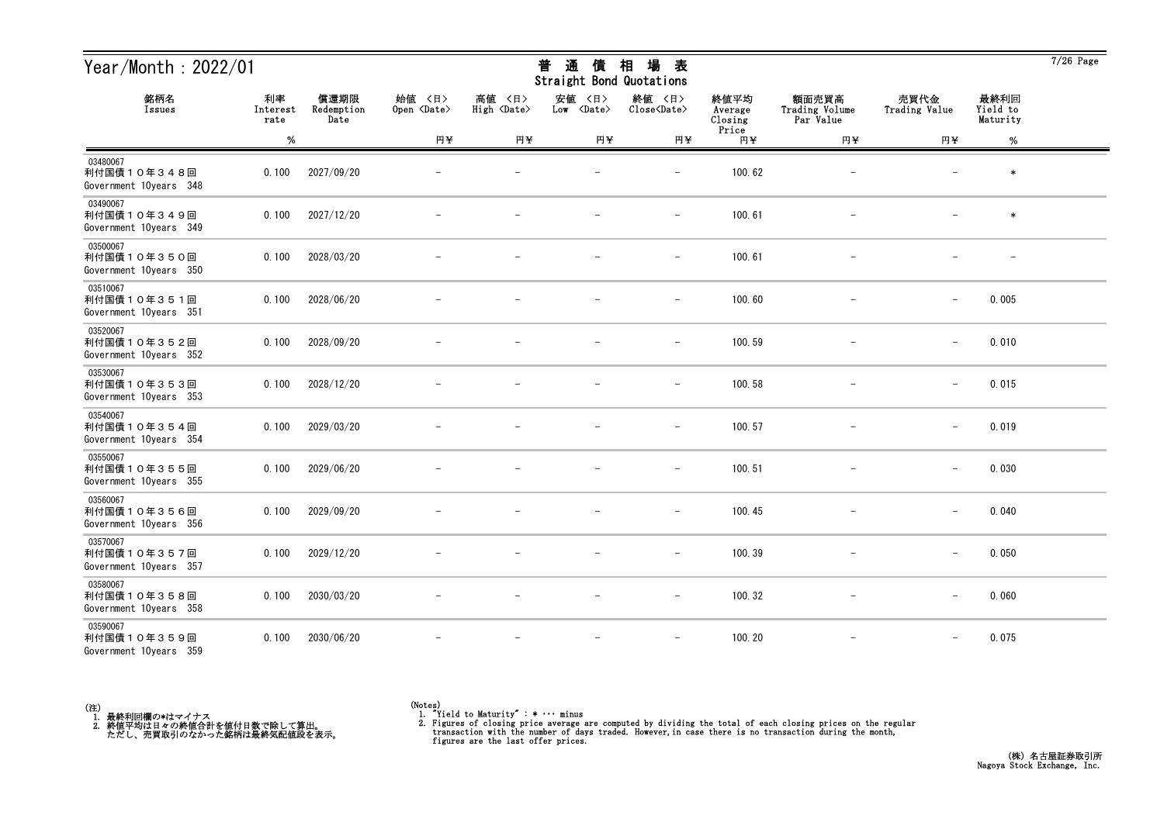| Year/Month: 2022/01                               |                        |                            |                              |                              | 通<br>普<br>債<br>Straight Bond Quotations | 場<br>相<br>表                   |                            |                                      |                          |                              | $7/26$ Page |
|---------------------------------------------------|------------------------|----------------------------|------------------------------|------------------------------|-----------------------------------------|-------------------------------|----------------------------|--------------------------------------|--------------------------|------------------------------|-------------|
| 銘柄名<br>Issues                                     | 利率<br>Interest<br>rate | 償還期限<br>Redemption<br>Date | 始値 〈日〉<br>Open <date></date> | 高値 〈日〉<br>High <date></date> | 安値<br>〈日〉<br>Low <date></date>          | 終値 〈日〉<br>Close <date></date> | 終値平均<br>Average<br>Closing | 額面売買高<br>Trading Volume<br>Par Value | 売買代金<br>Trading Value    | 最終利回<br>Yield to<br>Maturity |             |
|                                                   | $\%$                   |                            | 円半                           | 円半                           | 円半                                      | 円半                            | Price<br>円半                | 円半                                   | 円半                       | $\%$                         |             |
| 03480067<br>利付国債10年348回<br>Government 10years 348 | 0.100                  | 2027/09/20                 |                              |                              |                                         |                               | 100.62                     |                                      |                          | $\ast$                       |             |
| 03490067<br>利付国債10年349回<br>Government 10years 349 | 0.100                  | 2027/12/20                 |                              |                              |                                         | $\qquad \qquad -$             | 100.61                     | $\overline{\phantom{a}}$             |                          | $\ast$                       |             |
| 03500067<br>利付国債10年350回<br>Government 10years 350 | 0.100                  | 2028/03/20                 |                              |                              |                                         | $\overline{\phantom{m}}$      | 100.61                     |                                      |                          |                              |             |
| 03510067<br>利付国債10年351回<br>Government 10years 351 | 0.100                  | 2028/06/20                 |                              |                              |                                         | $\qquad \qquad -$             | 100.60                     |                                      | $\qquad \qquad -$        | 0.005                        |             |
| 03520067<br>利付国債10年352回<br>Government 10years 352 | 0.100                  | 2028/09/20                 |                              |                              |                                         | $\overline{\phantom{m}}$      | 100.59                     |                                      | $\overline{\phantom{m}}$ | 0.010                        |             |
| 03530067<br>利付国債10年353回<br>Government 10years 353 | 0.100                  | 2028/12/20                 |                              |                              |                                         | $\overline{\phantom{m}}$      | 100.58                     | $\qquad \qquad -$                    | $\overline{\phantom{m}}$ | 0.015                        |             |
| 03540067<br>利付国債10年354回<br>Government 10years 354 | 0.100                  | 2029/03/20                 |                              |                              |                                         | $\overline{\phantom{a}}$      | 100.57                     |                                      | $\qquad \qquad -$        | 0.019                        |             |
| 03550067<br>利付国債10年355回<br>Government 10years 355 | 0.100                  | 2029/06/20                 |                              |                              |                                         | $\overline{\phantom{a}}$      | 100.51                     |                                      | $\qquad \qquad -$        | 0.030                        |             |
| 03560067<br>利付国債10年356回<br>Government 10years 356 | 0.100                  | 2029/09/20                 |                              |                              |                                         |                               | 100.45                     |                                      | $\overline{\phantom{m}}$ | 0.040                        |             |
| 03570067<br>利付国債10年357回<br>Government 10years 357 | 0.100                  | 2029/12/20                 |                              |                              |                                         | $\overline{\phantom{m}}$      | 100.39                     |                                      | $\overline{\phantom{m}}$ | 0.050                        |             |
| 03580067<br>利付国債10年358回<br>Government 10years 358 | 0.100                  | 2030/03/20                 | $\overline{\phantom{m}}$     | $\overline{\phantom{m}}$     | $\overline{\phantom{m}}$                | $-$                           | 100.32                     | $-$                                  | $\qquad \qquad -$        | 0.060                        |             |
| 03590067<br>利付国債10年359回<br>Government 10years 359 | 0.100                  | 2030/06/20                 |                              | $\overline{\phantom{m}}$     | $\overline{\phantom{m}}$                | $\overline{\phantom{m}}$      | 100.20                     | $\overline{\phantom{m}}$             | $\qquad \qquad -$        | 0.075                        |             |



<sup>(</sup>Notes) 1. "Yield to Maturity" : \* ・・・ minus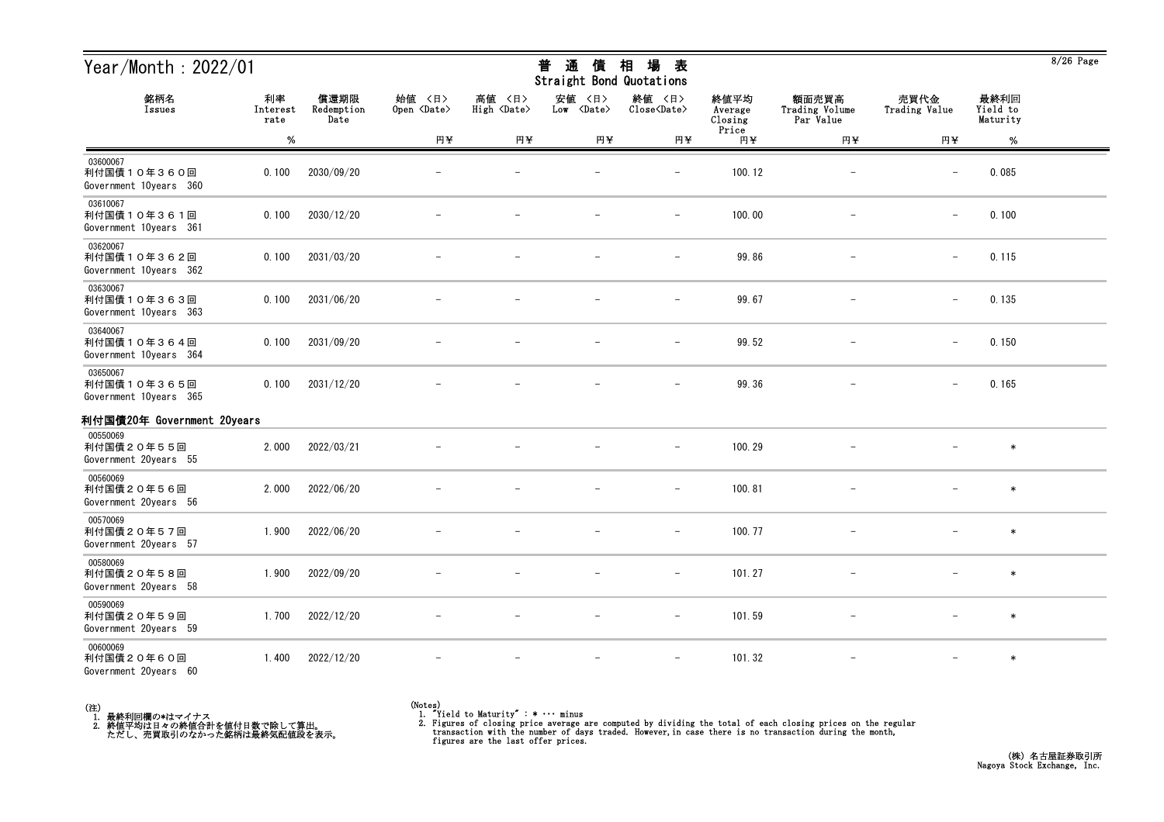| Year/Month: 2022/01<br>銘柄名<br>償還期限<br>利率          |                  |                    | 普<br>通<br>場<br>相<br>債<br>表<br>Straight Bond Quotations |                              |                             |                               |                            |                                      |                          | $8/26$ Page                  |  |
|---------------------------------------------------|------------------|--------------------|--------------------------------------------------------|------------------------------|-----------------------------|-------------------------------|----------------------------|--------------------------------------|--------------------------|------------------------------|--|
| Issues                                            | Interest<br>rate | Redemption<br>Date | 始值 〈日〉<br>Open <date></date>                           | 高値 〈日〉<br>High <date></date> | 安値 〈日〉<br>Low <date></date> | 終値 〈日〉<br>Close <date></date> | 終値平均<br>Average<br>Closing | 額面売買高<br>Trading Volume<br>Par Value | 売買代金<br>Trading Value    | 最終利回<br>Yield to<br>Maturity |  |
|                                                   | %                |                    | 円半                                                     | 円半                           | 円半                          | 円半                            | Price<br>円半                | 円半                                   | 円半                       | %                            |  |
| 03600067<br>利付国債10年360回<br>Government 10years 360 | 0.100            | 2030/09/20         |                                                        |                              |                             | $\overline{\phantom{m}}$      | 100.12                     |                                      | $\overline{\phantom{m}}$ | 0.085                        |  |
| 03610067<br>利付国債10年361回<br>Government 10years 361 | 0.100            | 2030/12/20         |                                                        |                              |                             | $\overline{\phantom{a}}$      | 100.00                     |                                      | $\overline{\phantom{m}}$ | 0.100                        |  |
| 03620067<br>利付国債10年362回<br>Government 10years 362 | 0.100            | 2031/03/20         |                                                        |                              |                             | $\overline{\phantom{a}}$      | 99.86                      |                                      | $\overline{\phantom{m}}$ | 0.115                        |  |
| 03630067<br>利付国債10年363回<br>Government 10years 363 | 0.100            | 2031/06/20         |                                                        |                              |                             | $\overline{\phantom{m}}$      | 99.67                      |                                      | $\overline{\phantom{m}}$ | 0.135                        |  |
| 03640067<br>利付国債10年364回<br>Government 10years 364 | 0.100            | 2031/09/20         |                                                        |                              |                             | $\overline{\phantom{m}}$      | 99.52                      |                                      | $\overline{\phantom{m}}$ | 0.150                        |  |
| 03650067<br>利付国債10年365回<br>Government 10years 365 | 0.100            | 2031/12/20         |                                                        |                              |                             |                               | 99.36                      |                                      |                          | 0.165                        |  |
| 利付国債20年 Government 20years                        |                  |                    |                                                        |                              |                             |                               |                            |                                      |                          |                              |  |
| 00550069<br>利付国債20年55回<br>Government 20years 55   | 2.000            | 2022/03/21         |                                                        |                              |                             | $\overline{\phantom{a}}$      | 100.29                     |                                      |                          | $\ast$                       |  |
| 00560069<br>利付国債20年56回<br>Government 20years 56   | 2.000            | 2022/06/20         |                                                        |                              |                             | $\overline{\phantom{m}}$      | 100.81                     |                                      |                          | $\ast$                       |  |
| 00570069<br>利付国債20年57回<br>Government 20years 57   | 1.900            | 2022/06/20         |                                                        |                              |                             | $\overline{\phantom{m}}$      | 100.77                     |                                      |                          | $\ast$                       |  |
| 00580069<br>利付国債20年58回<br>Government 20years 58   | 1.900            | 2022/09/20         |                                                        |                              |                             | $\qquad \qquad -$             | 101.27                     |                                      |                          | $\ast$                       |  |
| 00590069<br>利付国債20年59回<br>Government 20years 59   | 1.700            | 2022/12/20         |                                                        |                              |                             | $\overline{\phantom{m}}$      | 101.59                     |                                      |                          | $\ast$                       |  |
| 00600069<br>利付国債20年60回<br>Government 20years 60   | 1.400            | 2022/12/20         |                                                        |                              |                             | $\overline{\phantom{m}}$      | 101.32                     |                                      | $\overline{\phantom{m}}$ | $\ast$                       |  |



<sup>(</sup>Notes) 1. "Yield to Maturity" : \* ・・・ minus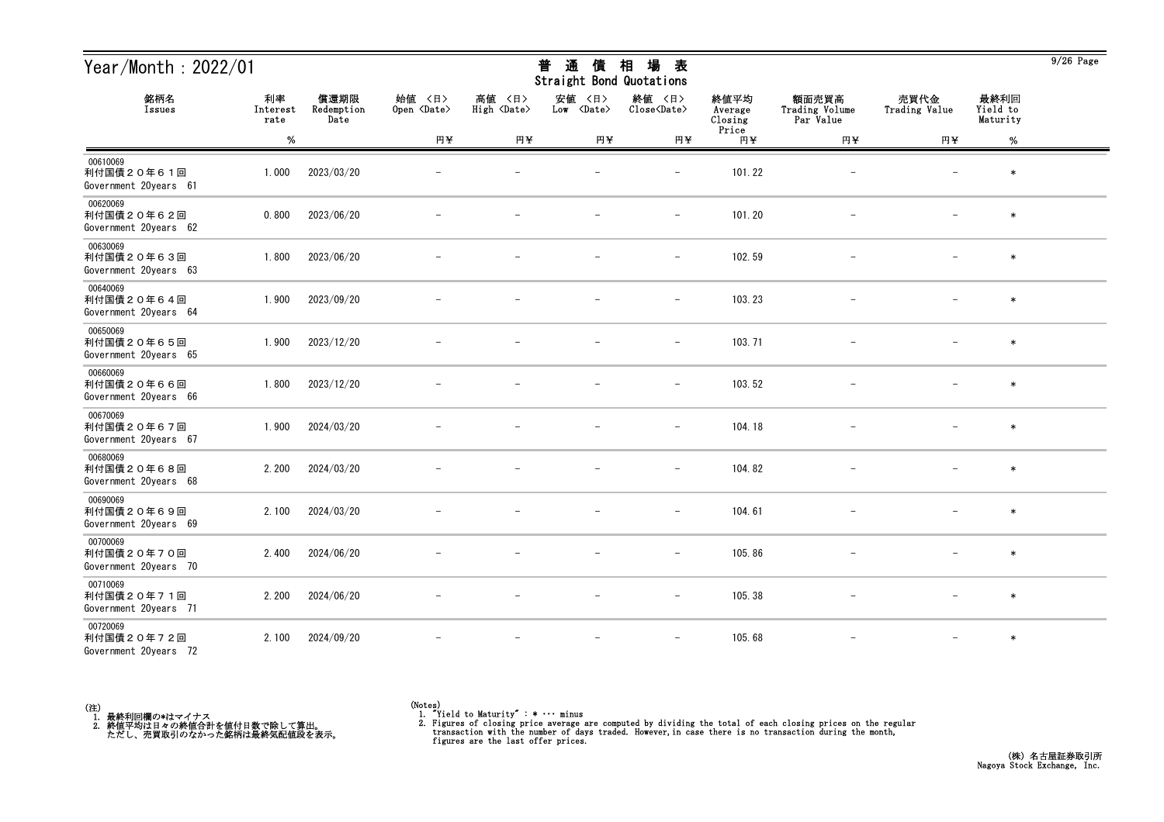| Year/Month: 2022/01                             |                        |                            | 通<br>場<br>普<br>相<br>表<br>債<br>Straight Bond Quotations |                              |                                |                               |                            |                                      |                          |                              | $9/26$ Page |
|-------------------------------------------------|------------------------|----------------------------|--------------------------------------------------------|------------------------------|--------------------------------|-------------------------------|----------------------------|--------------------------------------|--------------------------|------------------------------|-------------|
| 銘柄名<br>Issues                                   | 利率<br>Interest<br>rate | 償還期限<br>Redemption<br>Date | 始值 〈日〉<br>Open <date></date>                           | 高値 〈日〉<br>High <date></date> | 安値<br>〈日〉<br>Low <date></date> | 終値 〈日〉<br>Close <date></date> | 終値平均<br>Average<br>Closing | 額面売買高<br>Trading Volume<br>Par Value | 売買代金<br>Trading Value    | 最終利回<br>Yield to<br>Maturity |             |
|                                                 | $\%$                   |                            | 円半                                                     | 円半                           | 円半                             | 円半                            | Price<br>円半                | 円半                                   | 円半                       | $\%$                         |             |
| 00610069<br>利付国債20年61回<br>Government 20years 61 | 1.000                  | 2023/03/20                 |                                                        |                              |                                | $\overline{\phantom{m}}$      | 101.22                     |                                      |                          | $\ast$                       |             |
| 00620069<br>利付国債20年62回<br>Government 20years 62 | 0.800                  | 2023/06/20                 |                                                        |                              |                                | $\overline{\phantom{a}}$      | 101.20                     |                                      |                          | $\ast$                       |             |
| 00630069<br>利付国債20年63回<br>Government 20years 63 | 1.800                  | 2023/06/20                 |                                                        |                              |                                | $\overline{\phantom{m}}$      | 102.59                     |                                      |                          | $\ast$                       |             |
| 00640069<br>利付国債20年64回<br>Government 20years 64 | 1.900                  | 2023/09/20                 |                                                        |                              |                                | $\overline{\phantom{m}}$      | 103.23                     |                                      |                          | $\ast$                       |             |
| 00650069<br>利付国債20年65回<br>Government 20years 65 | 1.900                  | 2023/12/20                 |                                                        |                              |                                | $\overline{\phantom{a}}$      | 103.71                     |                                      |                          | $\ast$                       |             |
| 00660069<br>利付国債20年66回<br>Government 20years 66 | 1.800                  | 2023/12/20                 |                                                        |                              |                                | $\overline{\phantom{a}}$      | 103.52                     |                                      |                          | $\ast$                       |             |
| 00670069<br>利付国債20年67回<br>Government 20years 67 | 1.900                  | 2024/03/20                 |                                                        |                              |                                |                               | 104.18                     |                                      |                          | $\ast$                       |             |
| 00680069<br>利付国債20年68回<br>Government 20years 68 | 2.200                  | 2024/03/20                 |                                                        |                              |                                | $\qquad \qquad -$             | 104.82                     |                                      |                          | $\ast$                       |             |
| 00690069<br>利付国債20年69回<br>Government 20years 69 | 2.100                  | 2024/03/20                 |                                                        |                              |                                | $\qquad \qquad -$             | 104.61                     |                                      |                          | $\ast$                       |             |
| 00700069<br>利付国債20年70回<br>Government 20years 70 | 2.400                  | 2024/06/20                 |                                                        |                              | $\overline{\phantom{m}}$       | $\overline{\phantom{m}}$      | 105.86                     | $\overline{\phantom{m}}$             | $\overline{\phantom{0}}$ | $\ast$                       |             |
| 00710069<br>利付国債20年71回<br>Government 20years 71 | 2.200                  | 2024/06/20                 |                                                        |                              |                                | $\overline{\phantom{a}}$      | 105.38                     | $\qquad \qquad -$                    |                          | $\ast$                       |             |
| 00720069<br>利付国債20年72回<br>Government 20years 72 | 2.100                  | 2024/09/20                 |                                                        |                              | $\overline{\phantom{m}}$       | $\overline{\phantom{m}}$      | 105.68                     | $\overline{\phantom{m}}$             | $\overline{\phantom{0}}$ | $\ast$                       |             |

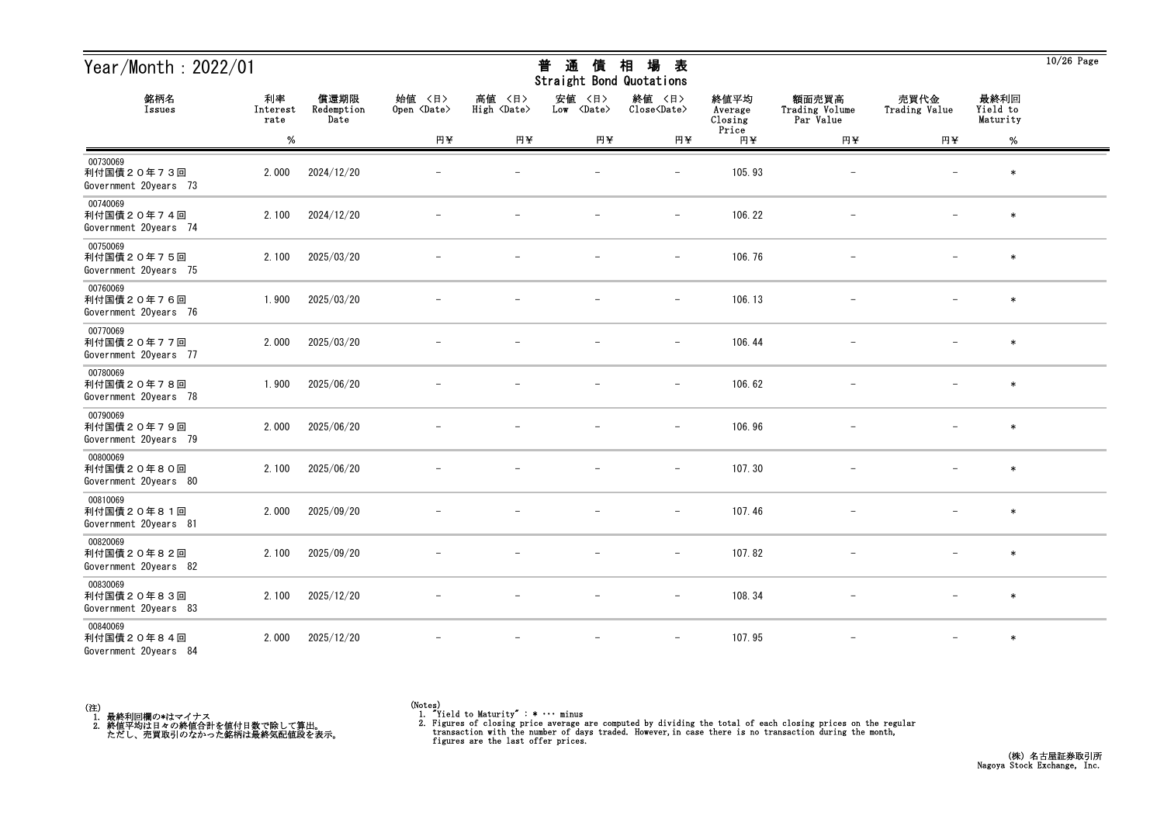| Year/Month: 2022/01                             |                        |                            |                              |                              | 普<br>通<br>債<br>Straight Bond Quotations | 場<br>相<br>表                   |                            |                                      |                          |                              | $10/26$ Page |
|-------------------------------------------------|------------------------|----------------------------|------------------------------|------------------------------|-----------------------------------------|-------------------------------|----------------------------|--------------------------------------|--------------------------|------------------------------|--------------|
| 銘柄名<br>Issues                                   | 利率<br>Interest<br>rate | 償還期限<br>Redemption<br>Date | 始値 〈日〉<br>Open <date></date> | 高値 〈日〉<br>High <date></date> | 安値<br>〈日〉<br>Low <date></date>          | 終値 〈日〉<br>Close <date></date> | 終値平均<br>Average<br>Closing | 額面売買高<br>Trading Volume<br>Par Value | 売買代金<br>Trading Value    | 最終利回<br>Yield to<br>Maturity |              |
|                                                 | $\%$                   |                            | 円半                           | 円半                           | 円半                                      | 円半                            | Price<br>円半                | 円半                                   | 円半                       | $\%$                         |              |
| 00730069<br>利付国債20年73回<br>Government 20years 73 | 2.000                  | 2024/12/20                 |                              |                              |                                         |                               | 105.93                     |                                      |                          | $\ast$                       |              |
| 00740069<br>利付国債20年74回<br>Government 20years 74 | 2.100                  | 2024/12/20                 |                              |                              |                                         | $\qquad \qquad -$             | 106.22                     | $\overline{\phantom{m}}$             |                          | $\ast$                       |              |
| 00750069<br>利付国債20年75回<br>Government 20years 75 | 2.100                  | 2025/03/20                 |                              |                              |                                         | $\overline{\phantom{m}}$      | 106.76                     |                                      |                          | $\ast$                       |              |
| 00760069<br>利付国債20年76回<br>Government 20years 76 | 1.900                  | 2025/03/20                 |                              |                              |                                         | $\qquad \qquad -$             | 106.13                     |                                      |                          | $\ast$                       |              |
| 00770069<br>利付国債20年77回<br>Government 20years 77 | 2.000                  | 2025/03/20                 |                              |                              |                                         | $\overline{\phantom{m}}$      | 106.44                     |                                      |                          | $\ast$                       |              |
| 00780069<br>利付国債20年78回<br>Government 20years 78 | 1.900                  | 2025/06/20                 |                              |                              |                                         | $\overline{\phantom{m}}$      | 106.62                     |                                      |                          | $\ast$                       |              |
| 00790069<br>利付国債20年79回<br>Government 20years 79 | 2.000                  | 2025/06/20                 |                              |                              |                                         | $\overline{\phantom{a}}$      | 106.96                     |                                      |                          | $\ast$                       |              |
| 00800069<br>利付国債20年80回<br>Government 20years 80 | 2.100                  | 2025/06/20                 |                              |                              |                                         | $\overline{\phantom{a}}$      | 107.30                     |                                      |                          | $\ast$                       |              |
| 00810069<br>利付国債20年81回<br>Government 20years 81 | 2.000                  | 2025/09/20                 |                              |                              |                                         |                               | 107.46                     |                                      |                          | $\ast$                       |              |
| 00820069<br>利付国債20年82回<br>Government 20years 82 | 2.100                  | 2025/09/20                 |                              |                              |                                         | $\overline{\phantom{m}}$      | 107.82                     |                                      | $\overline{\phantom{m}}$ | $\ast$                       |              |
| 00830069<br>利付国債20年83回<br>Government 20years 83 | 2.100                  | 2025/12/20                 | $\overline{\phantom{m}}$     |                              | $\overline{\phantom{m}}$                | $-$                           | 108.34                     | $\overline{\phantom{m}}$             | $-$                      | $\ast$                       |              |
| 00840069<br>利付国債20年84回<br>Government 20years 84 | 2.000                  | 2025/12/20                 |                              |                              | $\overline{\phantom{m}}$                | $\overline{\phantom{m}}$      | 107.95                     | $\overline{\phantom{m}}$             | $\overline{\phantom{m}}$ | $\ast$                       |              |



<sup>(</sup>Notes) 1. "Yield to Maturity" : \* ・・・ minus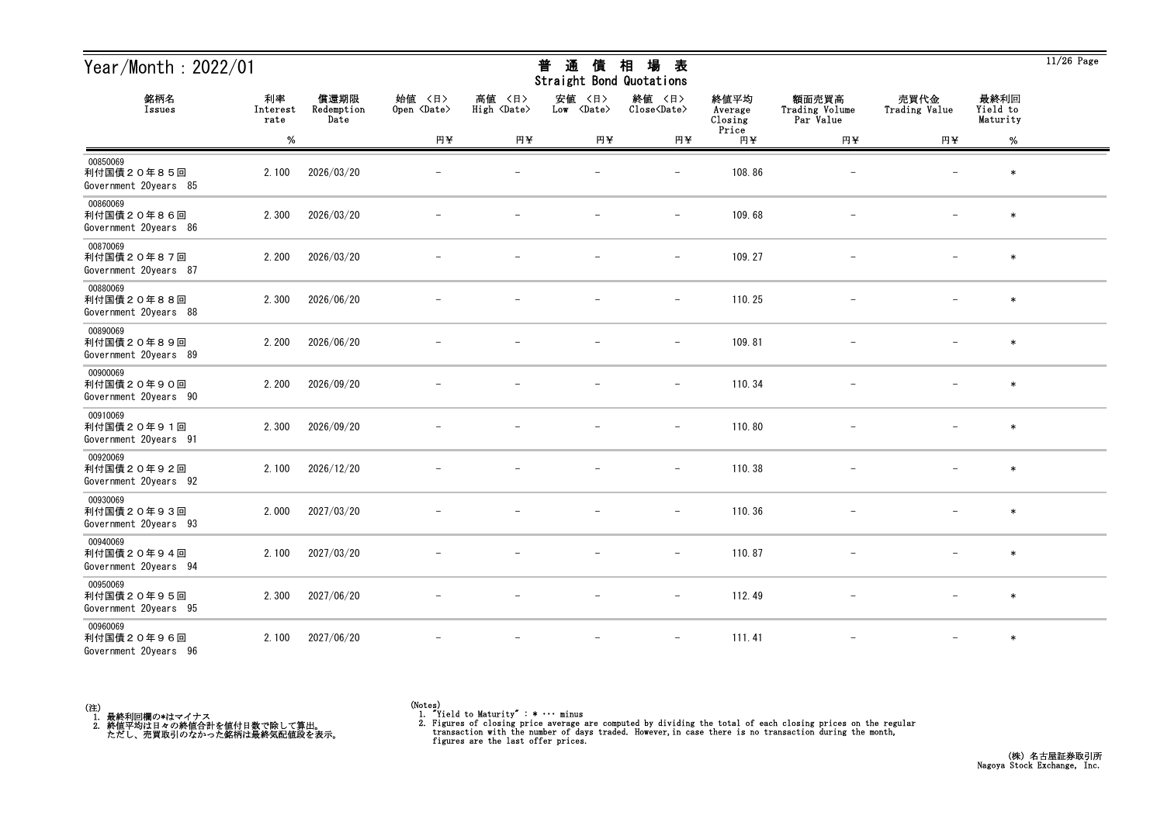| Year/Month: $2022/01$<br>銘柄名<br>利率<br>償還期限      |                  |                    | 場<br>通<br>相<br>普<br>債<br>表<br>Straight Bond Quotations |                                 |                                |                               |                            |                                      |                          | $11/26$ Page                 |  |
|-------------------------------------------------|------------------|--------------------|--------------------------------------------------------|---------------------------------|--------------------------------|-------------------------------|----------------------------|--------------------------------------|--------------------------|------------------------------|--|
| Issues                                          | Interest<br>rate | Redemption<br>Date | 始値 〈日〉<br>Open <date></date>                           | 高値<br>〈日〉<br>High <date></date> | 安値<br>〈日〉<br>Low <date></date> | 終値 〈日〉<br>Close <date></date> | 終値平均<br>Average<br>Closing | 額面売買高<br>Trading Volume<br>Par Value | 売買代金<br>Trading Value    | 最終利回<br>Yield to<br>Maturity |  |
|                                                 | $\%$             |                    | 円半                                                     | 円半                              | 円半                             | 円半                            | Price<br>円半                | 円半                                   | 円半                       | %                            |  |
| 00850069<br>利付国債20年85回<br>Government 20years 85 | 2.100            | 2026/03/20         |                                                        |                                 |                                | $\overline{\phantom{0}}$      | 108.86                     |                                      |                          | $\ast$                       |  |
| 00860069<br>利付国債20年86回<br>Government 20years 86 | 2.300            | 2026/03/20         |                                                        |                                 |                                | $\qquad \qquad -$             | 109.68                     |                                      |                          | $\ast$                       |  |
| 00870069<br>利付国債20年87回<br>Government 20years 87 | 2.200            | 2026/03/20         |                                                        |                                 |                                | $\overline{\phantom{m}}$      | 109.27                     |                                      |                          | $\ast$                       |  |
| 00880069<br>利付国債20年88回<br>Government 20years 88 | 2.300            | 2026/06/20         |                                                        |                                 |                                | $\overline{\phantom{m}}$      | 110.25                     |                                      |                          | $\ast$                       |  |
| 00890069<br>利付国債20年89回<br>Government 20years 89 | 2.200            | 2026/06/20         |                                                        |                                 |                                | $\qquad \qquad -$             | 109.81                     |                                      |                          | $\ast$                       |  |
| 00900069<br>利付国債20年90回<br>Government 20years 90 | 2.200            | 2026/09/20         |                                                        |                                 |                                | $\overline{\phantom{m}}$      | 110.34                     |                                      |                          | $\ast$                       |  |
| 00910069<br>利付国債20年91回<br>Government 20years 91 | 2.300            | 2026/09/20         |                                                        |                                 |                                | $\overline{\phantom{a}}$      | 110.80                     |                                      |                          | $\ast$                       |  |
| 00920069<br>利付国債20年92回<br>Government 20years 92 | 2.100            | 2026/12/20         |                                                        |                                 |                                |                               | 110.38                     |                                      |                          | $\ast$                       |  |
| 00930069<br>利付国債20年93回<br>Government 20years 93 | 2.000            | 2027/03/20         |                                                        |                                 |                                | $\overline{\phantom{0}}$      | 110.36                     |                                      |                          | $\ast$                       |  |
| 00940069<br>利付国債20年94回<br>Government 20years 94 | 2.100            | 2027/03/20         |                                                        |                                 |                                | $\overline{\phantom{m}}$      | 110.87                     |                                      | $\overline{\phantom{m}}$ | $\ast$                       |  |
| 00950069<br>利付国債20年95回<br>Government 20years 95 | 2.300            | 2027/06/20         |                                                        |                                 | $\overline{\phantom{m}}$       | $ \,$                         | 112.49                     | $\overline{\phantom{0}}$             | $-$                      | $\ast$                       |  |
| 00960069<br>利付国債20年96回<br>Government 20years 96 | 2.100            | 2027/06/20         |                                                        |                                 |                                | $\qquad \qquad -$             | 111.41                     | $\qquad \qquad -$                    | $\overline{\phantom{0}}$ | $\ast$                       |  |



<sup>(</sup>Notes) 1. "Yield to Maturity" : \* ・・・ minus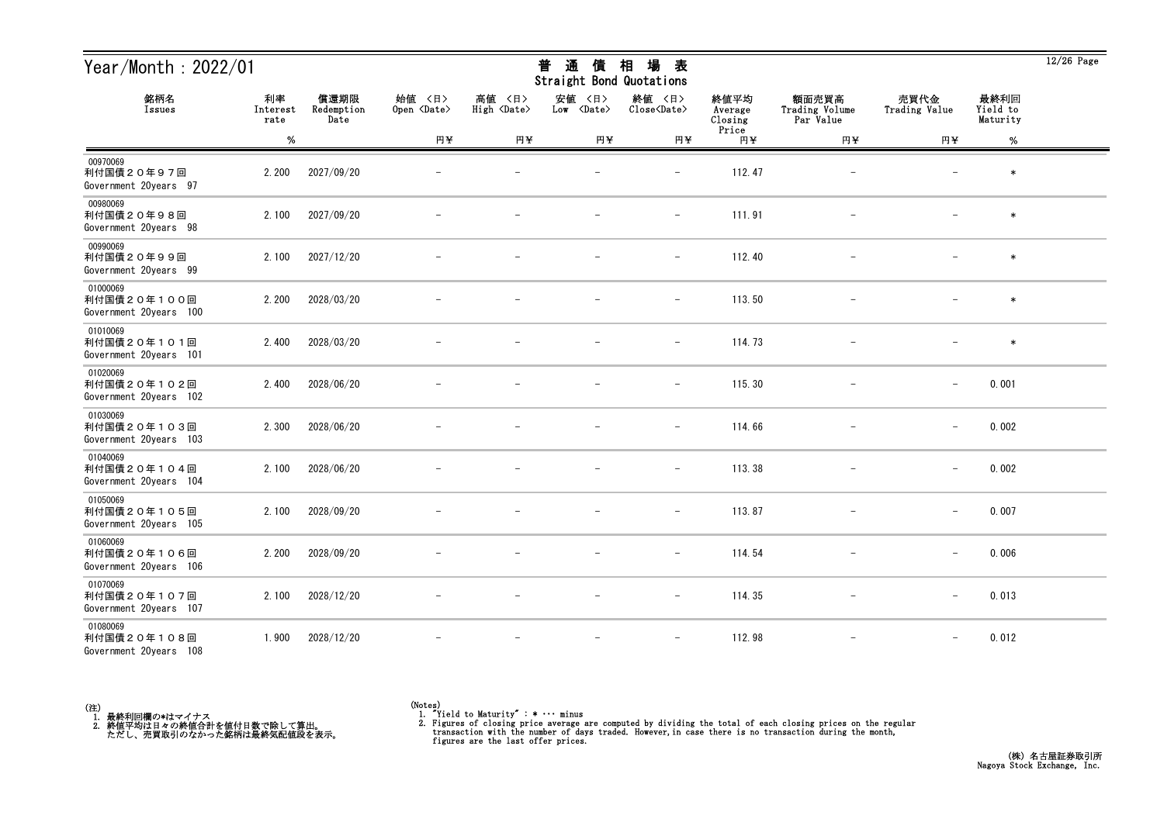| Year/Month: 2022/01                               |                        |                            |                              |                              | 通<br>普<br>債<br>Straight Bond Quotations | 場<br>相<br>表                   |                            |                                      |                          |                              | $12/26$ Page |
|---------------------------------------------------|------------------------|----------------------------|------------------------------|------------------------------|-----------------------------------------|-------------------------------|----------------------------|--------------------------------------|--------------------------|------------------------------|--------------|
| 銘柄名<br>Issues                                     | 利率<br>Interest<br>rate | 償還期限<br>Redemption<br>Date | 始値 〈日〉<br>Open <date></date> | 高値 〈日〉<br>High <date></date> | 安値<br>〈日〉<br>Low <date></date>          | 終値 〈日〉<br>Close <date></date> | 終値平均<br>Average<br>Closing | 額面売買高<br>Trading Volume<br>Par Value | 売買代金<br>Trading Value    | 最終利回<br>Yield to<br>Maturity |              |
|                                                   | $\%$                   |                            | 円半                           | 円半                           | 円半                                      | 円半                            | Price<br>円半                | 円半                                   | 円半                       | $\%$                         |              |
| 00970069<br>利付国債20年97回<br>Government 20years 97   | 2.200                  | 2027/09/20                 |                              |                              |                                         |                               | 112.47                     |                                      |                          | $\ast$                       |              |
| 00980069<br>利付国債20年98回<br>Government 20years 98   | 2.100                  | 2027/09/20                 |                              |                              |                                         | $\qquad \qquad -$             | 111.91                     | $\overline{\phantom{a}}$             |                          | $\ast$                       |              |
| 00990069<br>利付国債20年99回<br>Government 20years 99   | 2.100                  | 2027/12/20                 |                              |                              |                                         | $\overline{\phantom{m}}$      | 112.40                     |                                      |                          | $\ast$                       |              |
| 01000069<br>利付国債20年100回<br>Government 20years 100 | 2.200                  | 2028/03/20                 |                              |                              |                                         | $\qquad \qquad -$             | 113.50                     |                                      |                          | $\ast$                       |              |
| 01010069<br>利付国債20年101回<br>Government 20years 101 | 2.400                  | 2028/03/20                 |                              |                              |                                         | $\overline{\phantom{m}}$      | 114.73                     |                                      |                          | $\ast$                       |              |
| 01020069<br>利付国債20年102回<br>Government 20years 102 | 2.400                  | 2028/06/20                 |                              |                              |                                         | $\overline{\phantom{m}}$      | 115.30                     | $\overline{\phantom{m}}$             | $\overline{\phantom{m}}$ | 0.001                        |              |
| 01030069<br>利付国債20年103回<br>Government 20years 103 | 2.300                  | 2028/06/20                 |                              |                              |                                         | $\overline{\phantom{a}}$      | 114.66                     |                                      | $\qquad \qquad -$        | 0.002                        |              |
| 01040069<br>利付国債20年104回<br>Government 20years 104 | 2.100                  | 2028/06/20                 |                              |                              |                                         | $\overline{\phantom{a}}$      | 113.38                     |                                      | $\qquad \qquad -$        | 0.002                        |              |
| 01050069<br>利付国債20年105回<br>Government 20years 105 | 2.100                  | 2028/09/20                 |                              |                              |                                         |                               | 113.87                     |                                      | $\overline{\phantom{m}}$ | 0.007                        |              |
| 01060069<br>利付国債20年106回<br>Government 20years 106 | 2.200                  | 2028/09/20                 |                              |                              |                                         | $\overline{\phantom{a}}$      | 114.54                     |                                      | $\overline{\phantom{m}}$ | 0.006                        |              |
| 01070069<br>利付国債20年107回<br>Government 20years 107 | 2.100                  | 2028/12/20                 | $\overline{\phantom{m}}$     |                              | $\overline{\phantom{m}}$                | $ \,$                         | 114.35                     | $-$                                  | $-$                      | 0.013                        |              |
| 01080069<br>利付国債20年108回<br>Government 20years 108 | 1.900                  | 2028/12/20                 |                              |                              | $\overline{\phantom{a}}$                | $\overline{\phantom{m}}$      | 112.98                     | $\overline{\phantom{m}}$             | $\qquad \qquad -$        | 0.012                        |              |



<sup>(</sup>Notes) 1. "Yield to Maturity" : \* ・・・ minus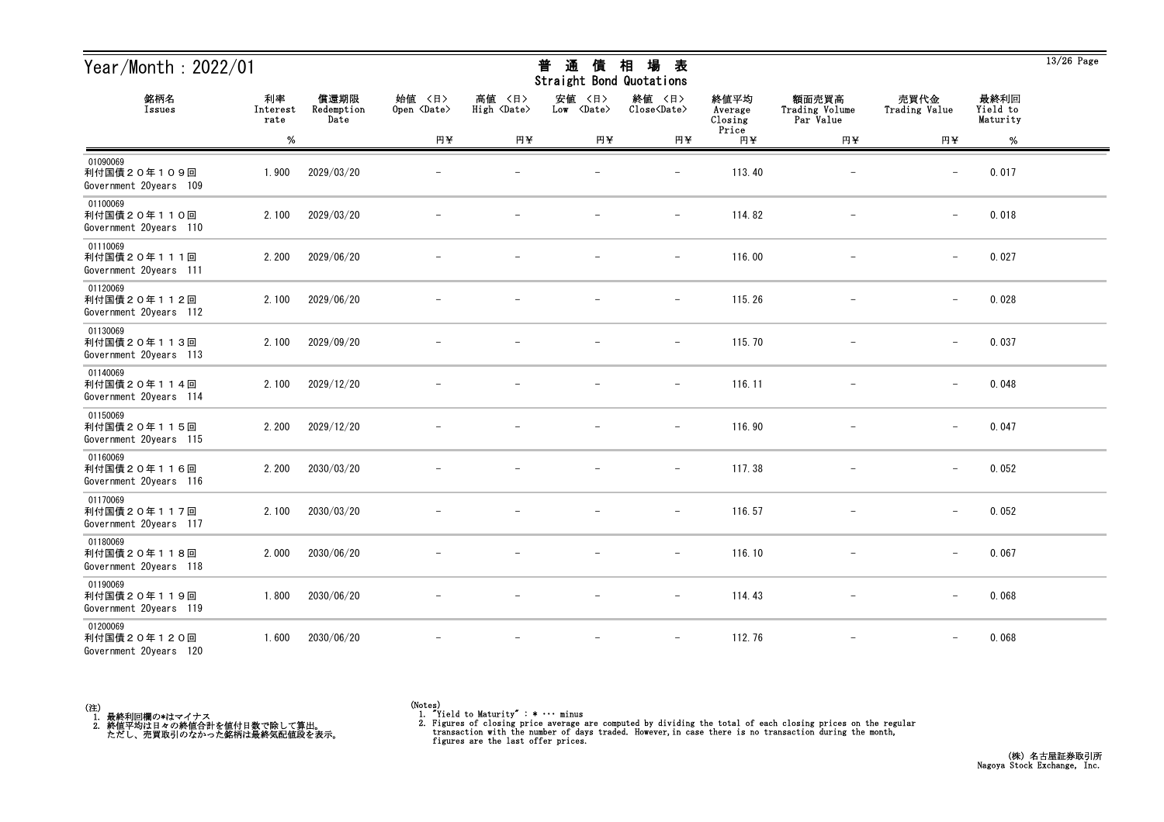| Year/Month: 2022/01                               |                        |                            |                              |                              | 通<br>普<br>債<br>Straight Bond Quotations | 場<br>相<br>表                   |                            |                                      |                          |                              | $13/26$ Page |
|---------------------------------------------------|------------------------|----------------------------|------------------------------|------------------------------|-----------------------------------------|-------------------------------|----------------------------|--------------------------------------|--------------------------|------------------------------|--------------|
| 銘柄名<br>Issues                                     | 利率<br>Interest<br>rate | 償還期限<br>Redemption<br>Date | 始值 〈日〉<br>Open <date></date> | 高値 〈日〉<br>High <date></date> | 安値<br>〈日〉<br>Low <date></date>          | 終値 〈日〉<br>Close <date></date> | 終値平均<br>Average<br>Closing | 額面売買高<br>Trading Volume<br>Par Value | 売買代金<br>Trading Value    | 最終利回<br>Yield to<br>Maturity |              |
|                                                   | $\%$                   |                            | 円半                           | 円半                           | 円半                                      | 円半                            | Price<br>円半                | 円半                                   | 円半                       | %                            |              |
| 01090069<br>利付国債20年109回<br>Government 20years 109 | 1.900                  | 2029/03/20                 |                              |                              |                                         |                               | 113.40                     |                                      |                          | 0.017                        |              |
| 01100069<br>利付国債20年110回<br>Government 20years 110 | 2.100                  | 2029/03/20                 |                              |                              |                                         | $\qquad \qquad -$             | 114.82                     | $\overline{\phantom{m}}$             | $\overline{\phantom{0}}$ | 0.018                        |              |
| 01110069<br>利付国債20年111回<br>Government 20years 111 | 2.200                  | 2029/06/20                 |                              |                              |                                         | $\overline{\phantom{m}}$      | 116.00                     |                                      | $\overline{\phantom{m}}$ | 0.027                        |              |
| 01120069<br>利付国債20年112回<br>Government 20years 112 | 2.100                  | 2029/06/20                 |                              |                              |                                         | $\overline{\phantom{m}}$      | 115.26                     |                                      | $\qquad \qquad -$        | 0.028                        |              |
| 01130069<br>利付国債20年113回<br>Government 20years 113 | 2.100                  | 2029/09/20                 |                              |                              |                                         | $\overline{\phantom{m}}$      | 115.70                     |                                      | $\overline{\phantom{m}}$ | 0.037                        |              |
| 01140069<br>利付国債20年114回<br>Government 20years 114 | 2.100                  | 2029/12/20                 |                              |                              |                                         | $\overline{\phantom{m}}$      | 116.11                     | $\overline{\phantom{m}}$             | $\qquad \qquad -$        | 0.048                        |              |
| 01150069<br>利付国債20年115回<br>Government 20years 115 | 2.200                  | 2029/12/20                 |                              |                              |                                         | $\overline{\phantom{a}}$      | 116.90                     |                                      | $\qquad \qquad -$        | 0.047                        |              |
| 01160069<br>利付国債20年116回<br>Government 20years 116 | 2.200                  | 2030/03/20                 |                              |                              |                                         | $\overline{\phantom{a}}$      | 117.38                     |                                      | $\qquad \qquad -$        | 0.052                        |              |
| 01170069<br>利付国債20年117回<br>Government 20years 117 | 2.100                  | 2030/03/20                 |                              |                              |                                         | $\overline{\phantom{0}}$      | 116.57                     |                                      | $\overline{\phantom{m}}$ | 0.052                        |              |
| 01180069<br>利付国債20年118回<br>Government 20years 118 | 2.000                  | 2030/06/20                 |                              |                              |                                         | $\overline{\phantom{a}}$      | 116.10                     |                                      | $\overline{\phantom{m}}$ | 0.067                        |              |
| 01190069<br>利付国債20年119回<br>Government 20years 119 | 1.800                  | 2030/06/20                 | $\overline{\phantom{m}}$     | $\overline{\phantom{m}}$     | $\overline{\phantom{m}}$                | $ \,$                         | 114.43                     | $-$                                  | $\qquad \qquad -$        | 0.068                        |              |
| 01200069<br>利付国債20年120回<br>Government 20years 120 | 1.600                  | 2030/06/20                 |                              | $\overline{\phantom{m}}$     | $\overline{\phantom{m}}$                | $-$                           | 112.76                     | $\overline{\phantom{m}}$             | $\qquad \qquad -$        | 0.068                        |              |



<sup>(</sup>Notes) 1. "Yield to Maturity" : \* ・・・ minus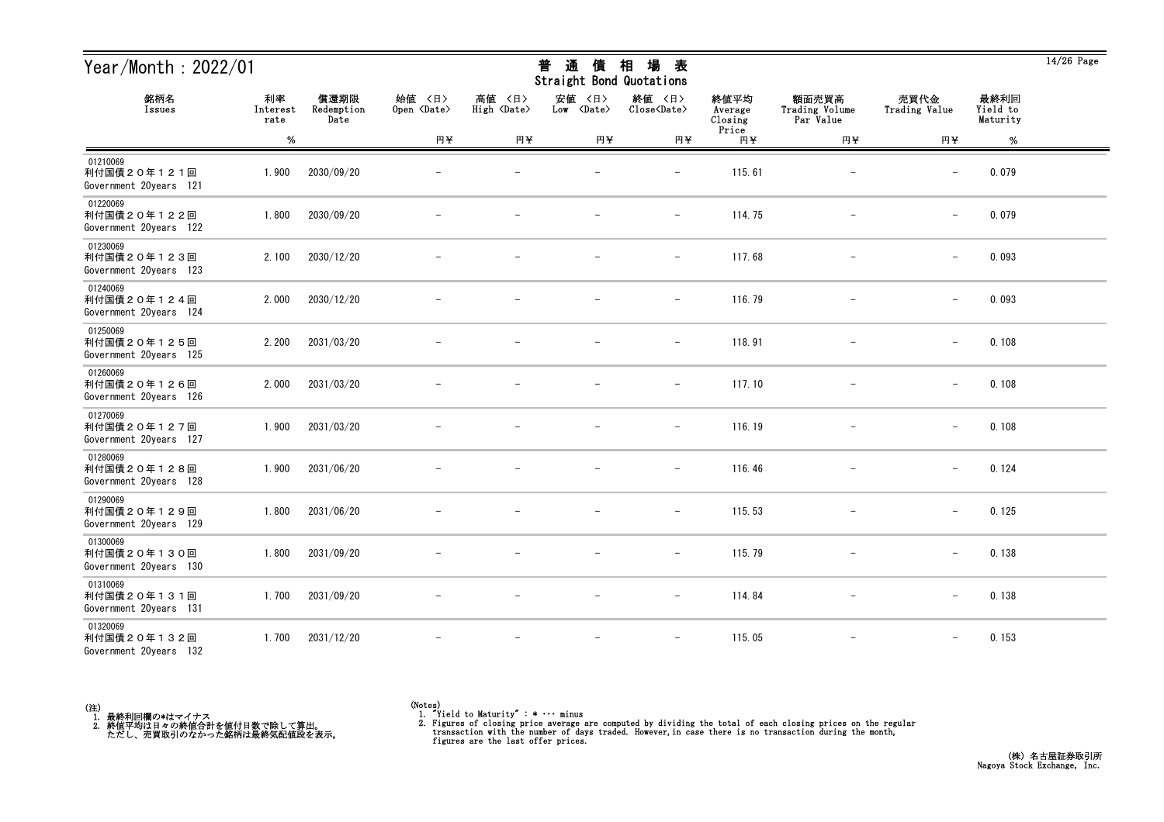| Year/Month: 2022/01                               |                        |                            |                              |                              | 通<br>普<br>債<br>Straight Bond Quotations | 場<br>相<br>表                   |                            |                                      |                          |                              | $14/26$ Page |
|---------------------------------------------------|------------------------|----------------------------|------------------------------|------------------------------|-----------------------------------------|-------------------------------|----------------------------|--------------------------------------|--------------------------|------------------------------|--------------|
| 銘柄名<br>Issues                                     | 利率<br>Interest<br>rate | 償還期限<br>Redemption<br>Date | 始值 〈日〉<br>Open <date></date> | 高値 〈日〉<br>High <date></date> | 安値<br>〈日〉<br>Low <date></date>          | 終値 〈日〉<br>Close <date></date> | 終値平均<br>Average<br>Closing | 額面売買高<br>Trading Volume<br>Par Value | 売買代金<br>Trading Value    | 最終利回<br>Yield to<br>Maturity |              |
|                                                   | $\%$                   |                            | 円半                           | 円半                           | 円半                                      | 円半                            | Price<br>円半                | 円半                                   | 円半                       | %                            |              |
| 01210069<br>利付国債20年121回<br>Government 20years 121 | 1.900                  | 2030/09/20                 |                              |                              |                                         |                               | 115.61                     |                                      |                          | 0.079                        |              |
| 01220069<br>利付国債20年122回<br>Government 20years 122 | 1.800                  | 2030/09/20                 |                              |                              |                                         | $\qquad \qquad -$             | 114.75                     | $\overline{\phantom{a}}$             | $\overline{\phantom{0}}$ | 0.079                        |              |
| 01230069<br>利付国債20年123回<br>Government 20years 123 | 2.100                  | 2030/12/20                 |                              |                              |                                         | $\overline{\phantom{m}}$      | 117.68                     |                                      | $\overline{\phantom{m}}$ | 0.093                        |              |
| 01240069<br>利付国債20年124回<br>Government 20years 124 | 2.000                  | 2030/12/20                 |                              |                              |                                         | $\overline{\phantom{m}}$      | 116.79                     |                                      | $\qquad \qquad -$        | 0.093                        |              |
| 01250069<br>利付国債20年125回<br>Government 20years 125 | 2.200                  | 2031/03/20                 |                              |                              |                                         | $\overline{\phantom{m}}$      | 118.91                     |                                      | $\overline{\phantom{m}}$ | 0.108                        |              |
| 01260069<br>利付国債20年126回<br>Government 20years 126 | 2.000                  | 2031/03/20                 |                              |                              |                                         | $\overline{\phantom{m}}$      | 117.10                     | $\overline{\phantom{m}}$             | $\qquad \qquad -$        | 0.108                        |              |
| 01270069<br>利付国債20年127回<br>Government 20years 127 | 1.900                  | 2031/03/20                 |                              |                              |                                         | $\overline{\phantom{m}}$      | 116.19                     |                                      | $\qquad \qquad -$        | 0.108                        |              |
| 01280069<br>利付国債20年128回<br>Government 20years 128 | 1.900                  | 2031/06/20                 |                              |                              |                                         | $\overline{\phantom{a}}$      | 116.46                     |                                      | $\qquad \qquad -$        | 0.124                        |              |
| 01290069<br>利付国債20年129回<br>Government 20years 129 | 1.800                  | 2031/06/20                 |                              |                              |                                         | $\overline{\phantom{0}}$      | 115.53                     |                                      | $\overline{\phantom{m}}$ | 0.125                        |              |
| 01300069<br>利付国債20年130回<br>Government 20years 130 | 1.800                  | 2031/09/20                 |                              |                              | $\overline{\phantom{m}}$                | $\overline{\phantom{a}}$      | 115.79                     |                                      | $\overline{\phantom{0}}$ | 0.138                        |              |
| 01310069<br>利付国債20年131回<br>Government 20years 131 | 1.700                  | 2031/09/20                 | $\overline{\phantom{m}}$     |                              | $\overline{\phantom{m}}$                | $ \,$                         | 114.84                     | $\overline{\phantom{m}}$             | $-$                      | 0.138                        |              |
| 01320069<br>利付国債20年132回<br>Government 20years 132 | 1.700                  | 2031/12/20                 |                              |                              | $\overline{\phantom{m}}$                | $\overline{\phantom{m}}$      | 115.05                     | $\overline{\phantom{m}}$             | $\overline{\phantom{0}}$ | 0.153                        |              |



 $\overline{14/26}$  Page

<sup>(</sup>Notes) 1. "Yield to Maturity" : \* ・・・ minus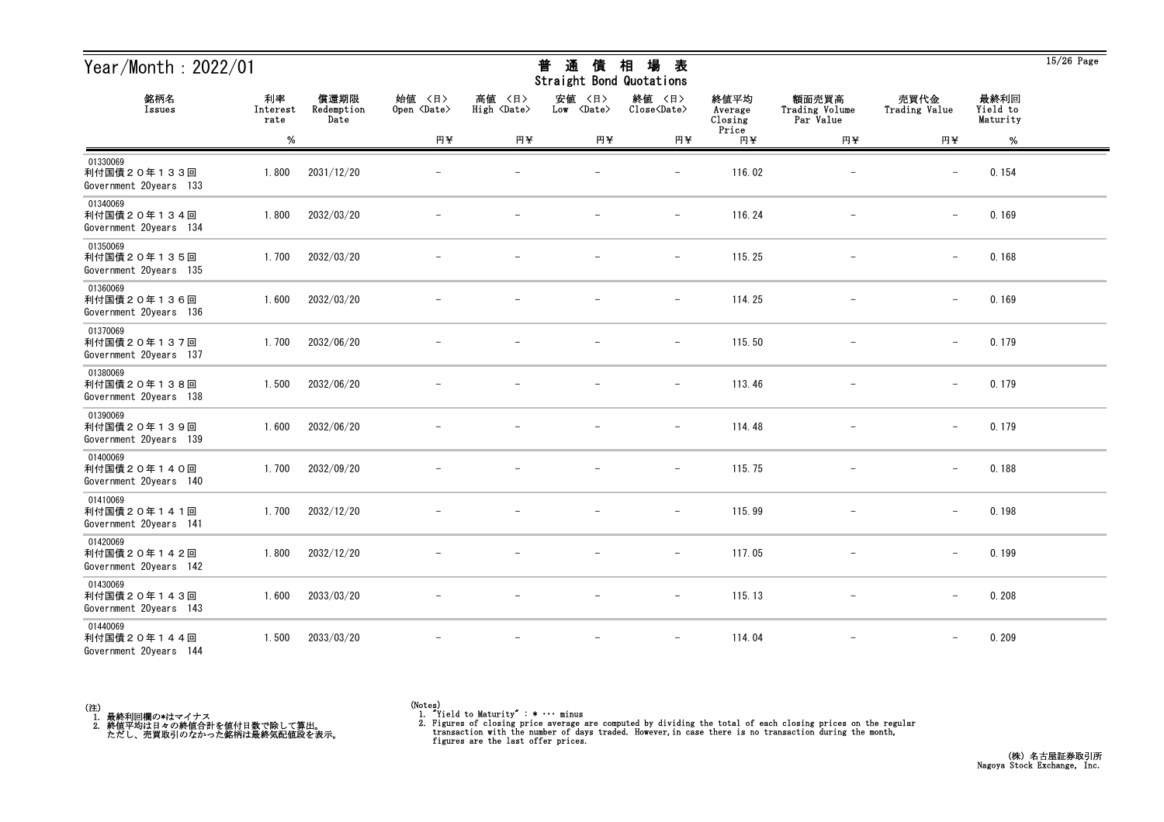| Year/Month: 2022/01                               |                        |                            |                              |                              | 通<br>普<br>債<br>Straight Bond Quotations | 場<br>相<br>表                   |                            |                                      |                          |                              | $15/26$ Page |
|---------------------------------------------------|------------------------|----------------------------|------------------------------|------------------------------|-----------------------------------------|-------------------------------|----------------------------|--------------------------------------|--------------------------|------------------------------|--------------|
| 銘柄名<br>Issues                                     | 利率<br>Interest<br>rate | 償還期限<br>Redemption<br>Date | 始値 〈日〉<br>Open <date></date> | 高値 〈日〉<br>High <date></date> | 安値<br>〈日〉<br>Low <date></date>          | 終値 〈日〉<br>Close <date></date> | 終値平均<br>Average<br>Closing | 額面売買高<br>Trading Volume<br>Par Value | 売買代金<br>Trading Value    | 最終利回<br>Yield to<br>Maturity |              |
|                                                   | $\%$                   |                            | 円半                           | 円半                           | 円半                                      | 円半                            | Price<br>円半                | 円半                                   | 円半                       | %                            |              |
| 01330069<br>利付国債20年133回<br>Government 20years 133 | 1.800                  | 2031/12/20                 |                              |                              |                                         |                               | 116.02                     |                                      |                          | 0.154                        |              |
| 01340069<br>利付国債20年134回<br>Government 20years 134 | 1.800                  | 2032/03/20                 |                              |                              |                                         | $\qquad \qquad -$             | 116.24                     | $\overline{\phantom{m}}$             | $\overline{\phantom{0}}$ | 0.169                        |              |
| 01350069<br>利付国債20年135回<br>Government 20years 135 | 1.700                  | 2032/03/20                 |                              |                              |                                         | $\overline{\phantom{m}}$      | 115.25                     |                                      | $\overline{\phantom{m}}$ | 0.168                        |              |
| 01360069<br>利付国債20年136回<br>Government 20years 136 | 1.600                  | 2032/03/20                 |                              |                              |                                         | $\qquad \qquad -$             | 114.25                     |                                      | $\qquad \qquad -$        | 0.169                        |              |
| 01370069<br>利付国債20年137回<br>Government 20years 137 | 1.700                  | 2032/06/20                 |                              |                              |                                         | $\overline{\phantom{m}}$      | 115.50                     |                                      | $\overline{\phantom{m}}$ | 0.179                        |              |
| 01380069<br>利付国債20年138回<br>Government 20years 138 | 1.500                  | 2032/06/20                 |                              |                              |                                         | $\overline{\phantom{m}}$      | 113.46                     | $\overline{\phantom{m}}$             | $\overline{\phantom{m}}$ | 0.179                        |              |
| 01390069<br>利付国債20年139回<br>Government 20years 139 | 1.600                  | 2032/06/20                 |                              |                              |                                         | $\overline{\phantom{a}}$      | 114.48                     |                                      | $\qquad \qquad -$        | 0.179                        |              |
| 01400069<br>利付国債20年140回<br>Government 20years 140 | 1.700                  | 2032/09/20                 |                              |                              |                                         | $\overline{\phantom{a}}$      | 115.75                     |                                      | $\qquad \qquad -$        | 0.188                        |              |
| 01410069<br>利付国債20年141回<br>Government 20years 141 | 1.700                  | 2032/12/20                 |                              |                              |                                         | $\overline{\phantom{0}}$      | 115.99                     |                                      | $\overline{\phantom{m}}$ | 0.198                        |              |
| 01420069<br>利付国債20年142回<br>Government 20years 142 | 1.800                  | 2032/12/20                 |                              |                              | $\overline{\phantom{m}}$                | $\overline{\phantom{a}}$      | 117.05                     |                                      | $\overline{\phantom{0}}$ | 0.199                        |              |
| 01430069<br>利付国債20年143回<br>Government 20years 143 | 1.600                  | 2033/03/20                 | $\overline{\phantom{m}}$     | $\overline{\phantom{m}}$     | $\overline{\phantom{m}}$                | $ \,$                         | 115.13                     | $-$                                  | $\qquad \qquad -$        | 0.208                        |              |
| 01440069<br>利付国債20年144回<br>Government 20years 144 | 1.500                  | 2033/03/20                 |                              |                              | $\overline{\phantom{m}}$                | $\overline{\phantom{m}}$      | 114.04                     | $\overline{\phantom{m}}$             | $\qquad \qquad -$        | 0.209                        |              |



<sup>(</sup>Notes) 1. "Yield to Maturity" : \* ・・・ minus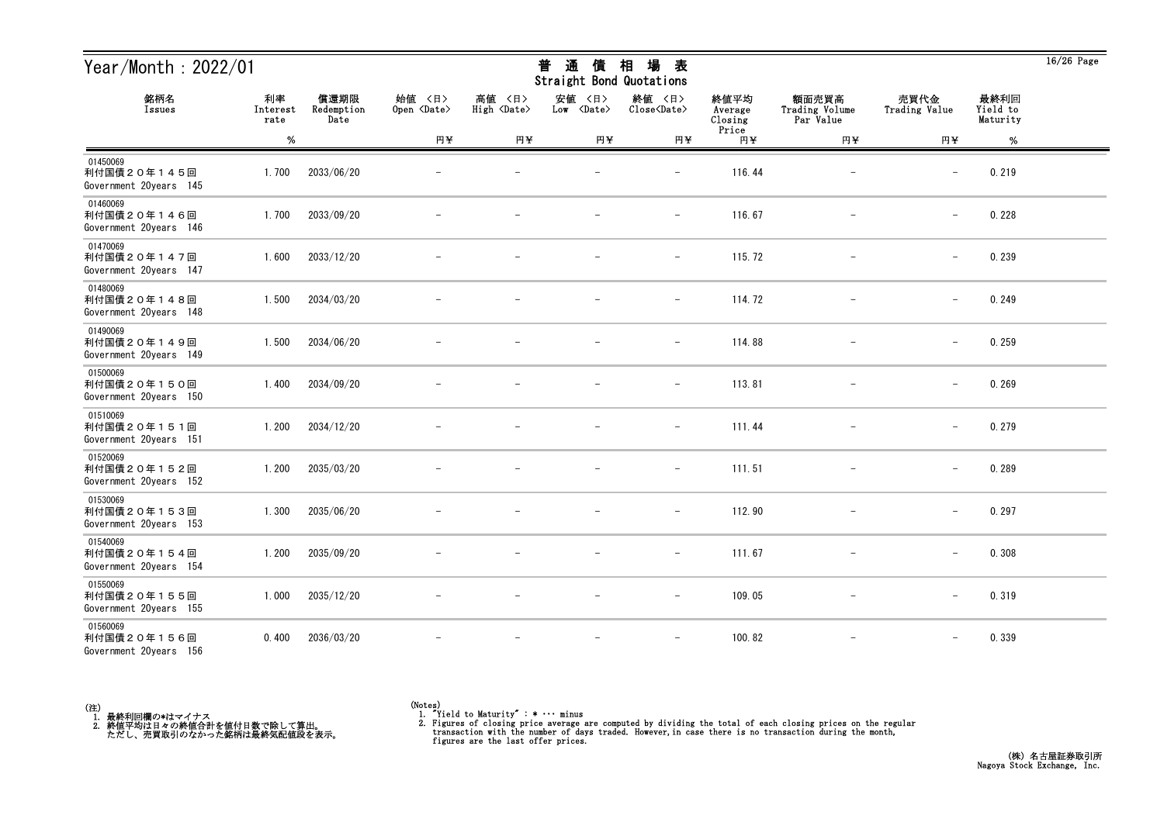| Year/Month: 2022/01                               |                        |                            |                              |                              | 普<br>通<br>債<br>Straight Bond Quotations | 場<br>相<br>表                   |                            |                                      |                          |                              | $16/26$ Page |
|---------------------------------------------------|------------------------|----------------------------|------------------------------|------------------------------|-----------------------------------------|-------------------------------|----------------------------|--------------------------------------|--------------------------|------------------------------|--------------|
| 銘柄名<br>Issues                                     | 利率<br>Interest<br>rate | 償還期限<br>Redemption<br>Date | 始値 〈日〉<br>Open <date></date> | 高値 〈日〉<br>High <date></date> | 安値<br>〈日〉<br>Low <date></date>          | 終値 〈日〉<br>Close <date></date> | 終値平均<br>Average<br>Closing | 額面売買高<br>Trading Volume<br>Par Value | 売買代金<br>Trading Value    | 最終利回<br>Yield to<br>Maturity |              |
|                                                   | %                      |                            | 円半                           | 円半                           | 円半                                      | 円半                            | Price<br>円半                | 円半                                   | 円半                       | %                            |              |
| 01450069<br>利付国債20年145回<br>Government 20years 145 | 1.700                  | 2033/06/20                 |                              |                              |                                         | $\qquad \qquad -$             | 116.44                     |                                      | $\overline{\phantom{m}}$ | 0.219                        |              |
| 01460069<br>利付国債20年146回<br>Government 20years 146 | 1.700                  | 2033/09/20                 |                              |                              |                                         | $\overline{\phantom{a}}$      | 116.67                     | $\qquad \qquad -$                    | $\qquad \qquad -$        | 0.228                        |              |
| 01470069<br>利付国債20年147回<br>Government 20years 147 | 1.600                  | 2033/12/20                 |                              |                              |                                         | $\overline{\phantom{m}}$      | 115.72                     |                                      | $\overline{\phantom{m}}$ | 0.239                        |              |
| 01480069<br>利付国債20年148回<br>Government 20years 148 | 1.500                  | 2034/03/20                 |                              |                              |                                         | $\overline{\phantom{m}}$      | 114.72                     |                                      | $\qquad \qquad -$        | 0.249                        |              |
| 01490069<br>利付国債20年149回<br>Government 20years 149 | 1.500                  | 2034/06/20                 |                              |                              |                                         | $\qquad \qquad -$             | 114.88                     |                                      | $\overline{\phantom{m}}$ | 0.259                        |              |
| 01500069<br>利付国債20年150回<br>Government 20years 150 | 1.400                  | 2034/09/20                 |                              |                              |                                         | $\overline{\phantom{m}}$      | 113.81                     |                                      | $\qquad \qquad -$        | 0.269                        |              |
| 01510069<br>利付国債20年151回<br>Government 20years 151 | 1.200                  | 2034/12/20                 |                              |                              |                                         | $\overline{\phantom{m}}$      | 111.44                     |                                      | $\overline{\phantom{m}}$ | 0.279                        |              |
| 01520069<br>利付国債20年152回<br>Government 20years 152 | 1.200                  | 2035/03/20                 |                              |                              |                                         | $\overline{\phantom{m}}$      | 111.51                     |                                      | $\overline{\phantom{m}}$ | 0.289                        |              |
| 01530069<br>利付国債20年153回<br>Government 20years 153 | 1.300                  | 2035/06/20                 |                              |                              |                                         | $\qquad \qquad -$             | 112.90                     |                                      | $\overline{\phantom{m}}$ | 0.297                        |              |
| 01540069<br>利付国債20年154回<br>Government 20years 154 | 1.200                  | 2035/09/20                 |                              |                              |                                         | $\overline{\phantom{m}}$      | 111.67                     |                                      | $-$                      | 0.308                        |              |
| 01550069<br>利付国債20年155回<br>Government 20years 155 | 1.000                  | 2035/12/20                 | $-$                          | $\overline{\phantom{m}}$     | $-$                                     | $-$                           | 109.05                     | $\overline{\phantom{m}}$             | $-$                      | 0.319                        |              |
| 01560069<br>利付国債20年156回<br>Government 20years 156 | 0.400                  | 2036/03/20                 | $\overline{\phantom{m}}$     | $\overline{\phantom{m}}$     | $\overline{\phantom{m}}$                | $-$                           | 100.82                     | $\overline{\phantom{m}}$             | $-$                      | 0.339                        |              |



 $16/26$  Page

# <del>並</del> や茎 /生 +□ +曰 <del>土</del>

<sup>(</sup>Notes) 1. "Yield to Maturity" : \* ・・・ minus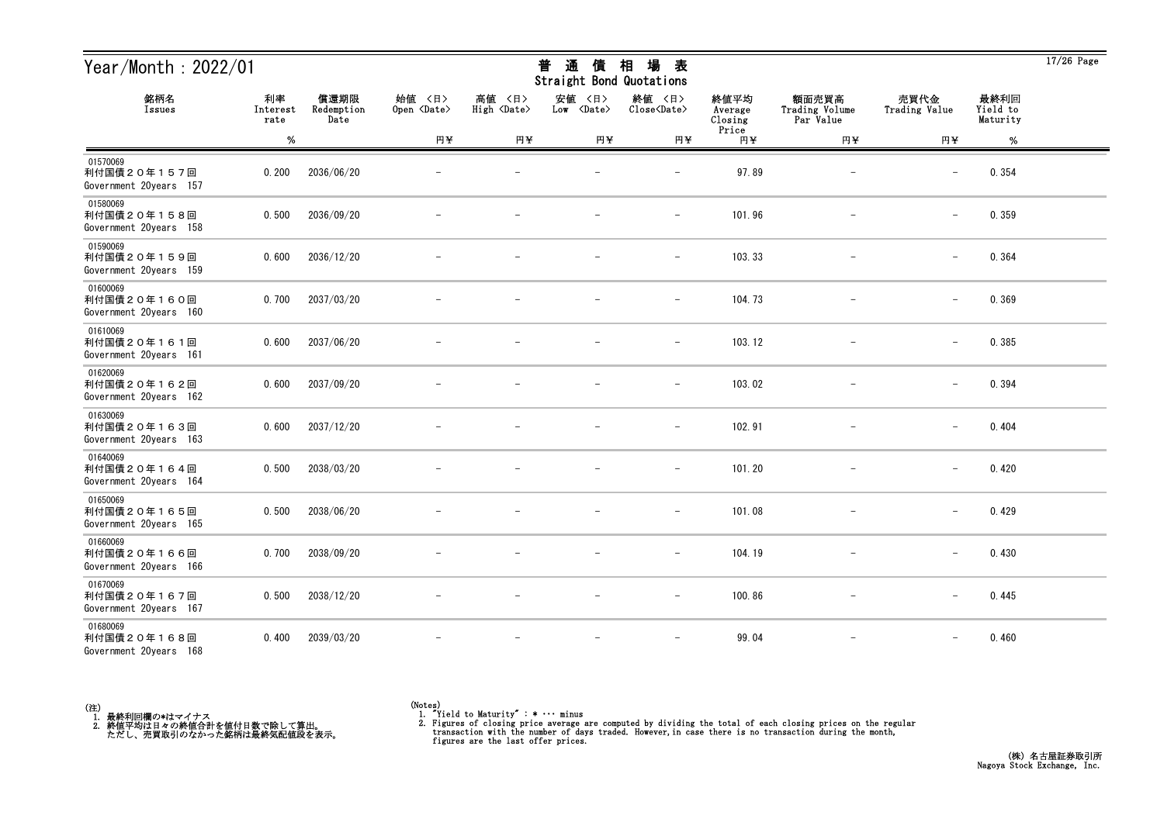| Year/Month: 2022/01                               |                        |                            |                              |                              | 通<br>普<br>債<br>Straight Bond Quotations | 場<br>相<br>表                   |                            |                                      |                          |                              | $17/26$ Page |
|---------------------------------------------------|------------------------|----------------------------|------------------------------|------------------------------|-----------------------------------------|-------------------------------|----------------------------|--------------------------------------|--------------------------|------------------------------|--------------|
| 銘柄名<br>Issues                                     | 利率<br>Interest<br>rate | 償還期限<br>Redemption<br>Date | 始值 〈日〉<br>Open <date></date> | 高値 〈日〉<br>High <date></date> | 安値<br>〈日〉<br>Low <date></date>          | 終値 〈日〉<br>Close <date></date> | 終値平均<br>Average<br>Closing | 額面売買高<br>Trading Volume<br>Par Value | 売買代金<br>Trading Value    | 最終利回<br>Yield to<br>Maturity |              |
|                                                   | $\%$                   |                            | 円半                           | 円半                           | 円半                                      | 円半                            | Price<br>円半                | 円半                                   | 円半                       | %                            |              |
| 01570069<br>利付国債20年157回<br>Government 20years 157 | 0.200                  | 2036/06/20                 |                              |                              |                                         |                               | 97.89                      |                                      |                          | 0.354                        |              |
| 01580069<br>利付国債20年158回<br>Government 20years 158 | 0.500                  | 2036/09/20                 |                              |                              |                                         | $\qquad \qquad -$             | 101.96                     | $\overline{\phantom{m}}$             | $\overline{\phantom{0}}$ | 0.359                        |              |
| 01590069<br>利付国債20年159回<br>Government 20years 159 | 0.600                  | 2036/12/20                 |                              |                              |                                         | $\overline{\phantom{m}}$      | 103.33                     |                                      | $\overline{\phantom{m}}$ | 0.364                        |              |
| 01600069<br>利付国債20年160回<br>Government 20years 160 | 0.700                  | 2037/03/20                 |                              |                              |                                         | $\qquad \qquad -$             | 104.73                     |                                      | $\qquad \qquad -$        | 0.369                        |              |
| 01610069<br>利付国債20年161回<br>Government 20years 161 | 0.600                  | 2037/06/20                 |                              |                              |                                         | $\overline{\phantom{m}}$      | 103.12                     |                                      | $\overline{\phantom{m}}$ | 0.385                        |              |
| 01620069<br>利付国債20年162回<br>Government 20years 162 | 0.600                  | 2037/09/20                 |                              |                              |                                         | $\overline{\phantom{m}}$      | 103.02                     | $\qquad \qquad -$                    | $\qquad \qquad -$        | 0.394                        |              |
| 01630069<br>利付国債20年163回<br>Government 20years 163 | 0.600                  | 2037/12/20                 |                              |                              |                                         | $\overline{\phantom{a}}$      | 102.91                     |                                      | $\qquad \qquad -$        | 0.404                        |              |
| 01640069<br>利付国債20年164回<br>Government 20years 164 | 0.500                  | 2038/03/20                 |                              |                              |                                         | $\overline{\phantom{a}}$      | 101.20                     |                                      | $\qquad \qquad -$        | 0.420                        |              |
| 01650069<br>利付国債20年165回<br>Government 20years 165 | 0.500                  | 2038/06/20                 |                              |                              |                                         |                               | 101.08                     |                                      | $\overline{\phantom{m}}$ | 0.429                        |              |
| 01660069<br>利付国債20年166回<br>Government 20years 166 | 0.700                  | 2038/09/20                 |                              |                              |                                         | $\overline{\phantom{m}}$      | 104.19                     |                                      | $\overline{\phantom{0}}$ | 0.430                        |              |
| 01670069<br>利付国債20年167回<br>Government 20years 167 | 0.500                  | 2038/12/20                 | $\overline{\phantom{m}}$     |                              | $\overline{\phantom{m}}$                | $-$                           | 100.86                     | $-$                                  | $\qquad \qquad -$        | 0.445                        |              |
| 01680069<br>利付国債20年168回<br>Government 20years 168 | 0.400                  | 2039/03/20                 |                              |                              | $\overline{\phantom{a}}$                | $\overline{\phantom{m}}$      | 99.04                      | $\overline{\phantom{m}}$             | $\qquad \qquad -$        | 0.460                        |              |



<sup>(</sup>Notes) 1. "Yield to Maturity" : \* ・・・ minus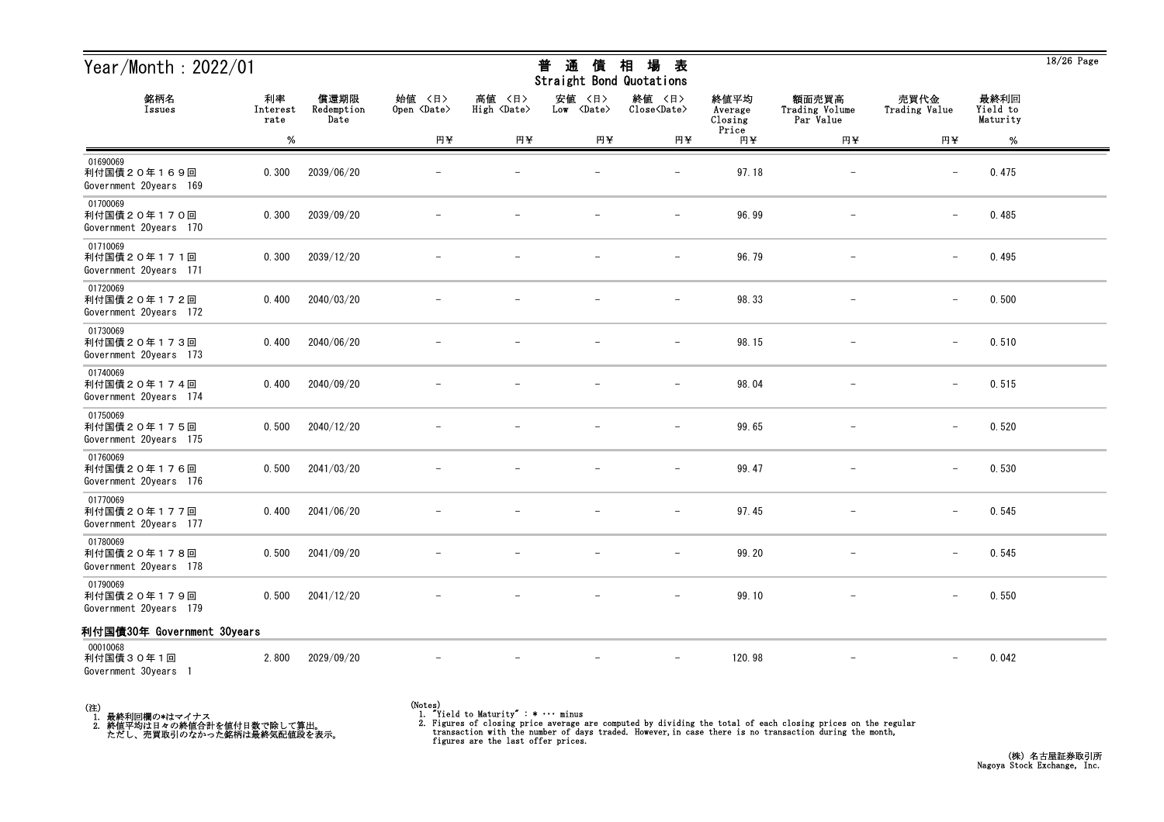| Year/Month: 2022/01                               |                        |                            | 通<br>相<br>場<br>普<br>債<br>表<br><b>Straight Bond Quotations</b> |                                 |                                |                               |                                     |                                      |                          |                              | $18/26$ Page |
|---------------------------------------------------|------------------------|----------------------------|---------------------------------------------------------------|---------------------------------|--------------------------------|-------------------------------|-------------------------------------|--------------------------------------|--------------------------|------------------------------|--------------|
| 銘柄名<br>Issues                                     | 利率<br>Interest<br>rate | 償還期限<br>Redemption<br>Date | 始値 〈日〉<br>Open <date></date>                                  | 高値<br>〈日〉<br>High <date></date> | 安値<br>〈日〉<br>Low <date></date> | 終値 〈日〉<br>Close <date></date> | 終値平均<br>Average<br>Closing<br>Price | 額面売買高<br>Trading Volume<br>Par Value | 売買代金<br>Trading Value    | 最終利回<br>Yield to<br>Maturity |              |
|                                                   | %                      |                            | 円半                                                            | 円半                              | 円半                             | 円半                            | 円半                                  | 円半                                   | 円半                       | $\%$                         |              |
| 01690069<br>利付国債20年169回<br>Government 20years 169 | 0.300                  | 2039/06/20                 |                                                               |                                 |                                | $\overline{\phantom{a}}$      | 97.18                               |                                      | $\overline{\phantom{m}}$ | 0.475                        |              |
| 01700069<br>利付国債20年170回<br>Government 20years 170 | 0.300                  | 2039/09/20                 |                                                               |                                 |                                | $\overline{\phantom{a}}$      | 96.99                               |                                      | $\overline{\phantom{m}}$ | 0.485                        |              |
| 01710069<br>利付国債20年171回<br>Government 20years 171 | 0.300                  | 2039/12/20                 |                                                               |                                 |                                | $\overline{\phantom{m}}$      | 96.79                               |                                      | $\overline{\phantom{m}}$ | 0.495                        |              |
| 01720069<br>利付国債20年172回<br>Government 20years 172 | 0.400                  | 2040/03/20                 |                                                               |                                 |                                | $\overline{\phantom{m}}$      | 98.33                               |                                      | $\overline{\phantom{m}}$ | 0.500                        |              |
| 01730069<br>利付国債20年173回<br>Government 20years 173 | 0.400                  | 2040/06/20                 |                                                               |                                 |                                | $\overline{\phantom{a}}$      | 98.15                               |                                      | $\overline{\phantom{m}}$ | 0.510                        |              |
| 01740069<br>利付国債20年174回<br>Government 20years 174 | 0.400                  | 2040/09/20                 |                                                               |                                 |                                | $\overline{\phantom{m}}$      | 98.04                               |                                      | $\overline{\phantom{m}}$ | 0.515                        |              |
| 01750069<br>利付国債20年175回<br>Government 20years 175 | 0.500                  | 2040/12/20                 |                                                               |                                 |                                |                               | 99.65                               |                                      | $\overline{\phantom{m}}$ | 0.520                        |              |
| 01760069<br>利付国債20年176回<br>Government 20years 176 | 0.500                  | 2041/03/20                 |                                                               |                                 |                                |                               | 99.47                               |                                      | $\overline{\phantom{m}}$ | 0.530                        |              |
| 01770069<br>利付国債20年177回<br>Government 20years 177 | 0.400                  | 2041/06/20                 |                                                               |                                 |                                |                               | 97.45                               |                                      | $\overline{\phantom{m}}$ | 0.545                        |              |
| 01780069<br>利付国債20年178回<br>Government 20years 178 | 0.500                  | 2041/09/20                 |                                                               |                                 |                                | $\overline{\phantom{m}}$      | 99.20                               |                                      | $\overline{\phantom{m}}$ | 0.545                        |              |
| 01790069<br>利付国債20年179回<br>Government 20years 179 | 0.500                  | 2041/12/20                 |                                                               |                                 |                                | $-$                           | 99.10                               | $\overline{\phantom{m}}$             | $\qquad \qquad -$        | 0.550                        |              |
| 利付国債30年 Government 30years                        |                        |                            |                                                               |                                 |                                |                               |                                     |                                      |                          |                              |              |
| 00010068<br>利付国債30年1回<br>Government 30years 1     | 2.800                  | 2029/09/20                 |                                                               |                                 |                                |                               | 120.98                              |                                      |                          | 0.042                        |              |

(注)<br>- 1.最終利回欄の\*はマイナス<br>- 2.終値平均は日々の終値合計を値付日数で除して算出。<br>- ただし、売買取引のなかった銘柄は最終気配値段を表示。

(Notes) 1. "Yield to Maturity" : \* ・・・ minus

2. Figures of closing price average are computed by dividing the total of each closing prices on the regular transaction with the number of days traded. However, in case there is no transaction during the month, figures ar

 $18/26$  Page

#### 普 通 債 相 場 表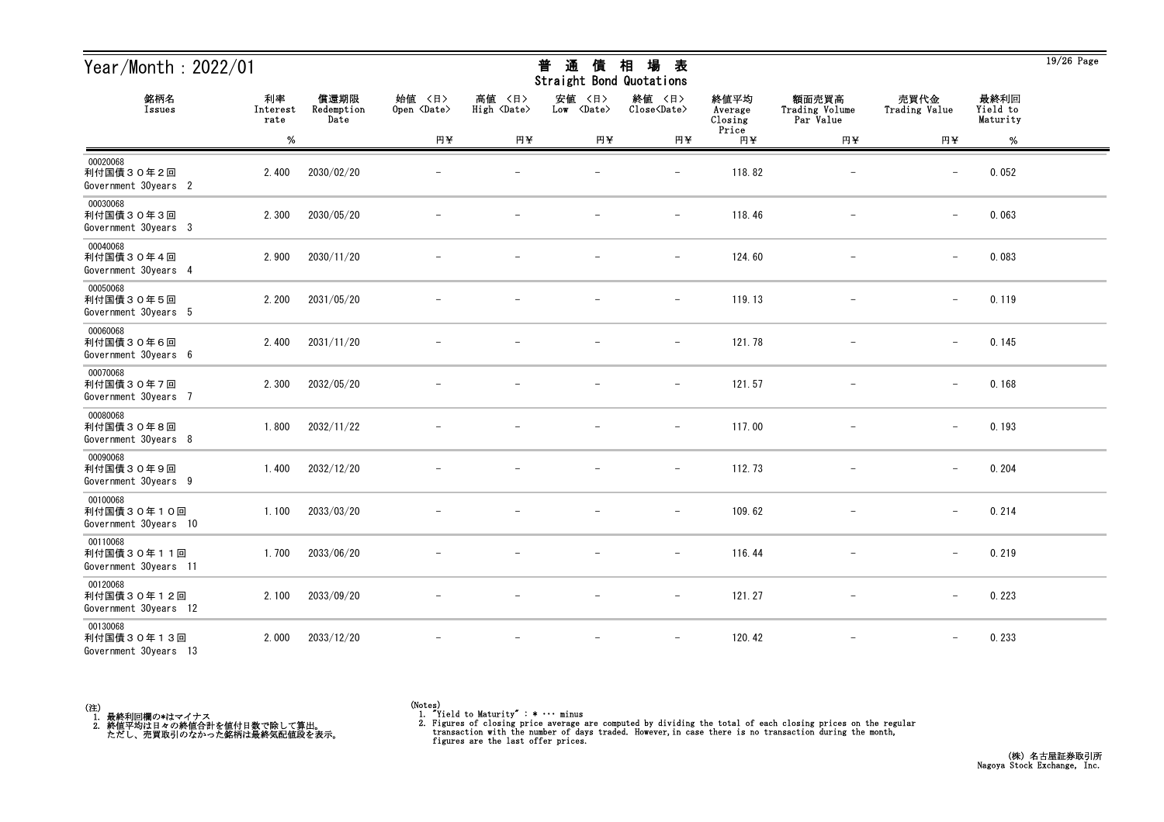| Year/Month: 2022/01                             |                        |                            |                              |                              | 通<br>普<br>債<br>Straight Bond Quotations | 場<br>相<br>表                   |                            |                                      |                          |                              | $19/26$ Page |
|-------------------------------------------------|------------------------|----------------------------|------------------------------|------------------------------|-----------------------------------------|-------------------------------|----------------------------|--------------------------------------|--------------------------|------------------------------|--------------|
| 銘柄名<br>Issues                                   | 利率<br>Interest<br>rate | 償還期限<br>Redemption<br>Date | 始值 〈日〉<br>Open <date></date> | 高値 〈日〉<br>High <date></date> | 安値<br>〈日〉<br>Low <date></date>          | 終値 〈日〉<br>Close <date></date> | 終値平均<br>Average<br>Closing | 額面売買高<br>Trading Volume<br>Par Value | 売買代金<br>Trading Value    | 最終利回<br>Yield to<br>Maturity |              |
|                                                 | $\%$                   |                            | 円半                           | 円半                           | 円半                                      | 円半                            | Price<br>円半                | 円半                                   | 円半                       | $\%$                         |              |
| 00020068<br>利付国債30年2回<br>Government 30years 2   | 2.400                  | 2030/02/20                 |                              |                              |                                         |                               | 118.82                     |                                      |                          | 0.052                        |              |
| 00030068<br>利付国債30年3回<br>Government 30years 3   | 2.300                  | 2030/05/20                 |                              |                              |                                         | $\qquad \qquad -$             | 118.46                     | $\overline{\phantom{a}}$             | $\overline{\phantom{0}}$ | 0.063                        |              |
| 00040068<br>利付国債30年4回<br>Government 30years 4   | 2.900                  | 2030/11/20                 |                              |                              |                                         | $\overline{\phantom{m}}$      | 124.60                     |                                      | $\overline{\phantom{m}}$ | 0.083                        |              |
| 00050068<br>利付国債30年5回<br>Government 30years 5   | 2.200                  | 2031/05/20                 |                              |                              |                                         | $\overline{\phantom{m}}$      | 119.13                     |                                      | $-$                      | 0.119                        |              |
| 00060068<br>利付国債30年6回<br>Government 30years 6   | 2.400                  | 2031/11/20                 |                              |                              |                                         | $\overline{\phantom{m}}$      | 121.78                     |                                      | $\overline{\phantom{m}}$ | 0.145                        |              |
| 00070068<br>利付国債30年7回<br>Government 30years 7   | 2.300                  | 2032/05/20                 |                              |                              |                                         | $\overline{\phantom{m}}$      | 121.57                     | $\overline{\phantom{m}}$             | $\overline{\phantom{m}}$ | 0.168                        |              |
| 00080068<br>利付国債30年8回<br>Government 30years 8   | 1.800                  | 2032/11/22                 |                              |                              |                                         | $\overline{\phantom{m}}$      | 117.00                     | $\overline{\phantom{m}}$             | $\qquad \qquad -$        | 0.193                        |              |
| 00090068<br>利付国債30年9回<br>Government 30years 9   | 1.400                  | 2032/12/20                 |                              |                              |                                         | $\overline{\phantom{a}}$      | 112.73                     |                                      | $\qquad \qquad -$        | 0.204                        |              |
| 00100068<br>利付国債30年10回<br>Government 30years 10 | 1.100                  | 2033/03/20                 |                              |                              |                                         |                               | 109.62                     |                                      | $\overline{\phantom{m}}$ | 0.214                        |              |
| 00110068<br>利付国債30年11回<br>Government 30years 11 | 1.700                  | 2033/06/20                 |                              |                              | $\overline{\phantom{m}}$                | $\overline{\phantom{a}}$      | 116.44                     | $\overline{\phantom{m}}$             | $\overline{\phantom{m}}$ | 0.219                        |              |
| 00120068<br>利付国債30年12回<br>Government 30years 12 | 2.100                  | 2033/09/20                 | $\overline{\phantom{m}}$     |                              | $\overline{\phantom{m}}$                | $-$                           | 121.27                     | $-$                                  | $\qquad \qquad -$        | 0.223                        |              |
| 00130068<br>利付国債30年13回<br>Government 30years 13 | 2.000                  | 2033/12/20                 |                              |                              | $\overline{\phantom{m}}$                | $\overline{\phantom{m}}$      | 120.42                     | $\overline{\phantom{m}}$             | $\qquad \qquad -$        | 0.233                        |              |



<sup>(</sup>Notes) 1. "Yield to Maturity" : \* ・・・ minus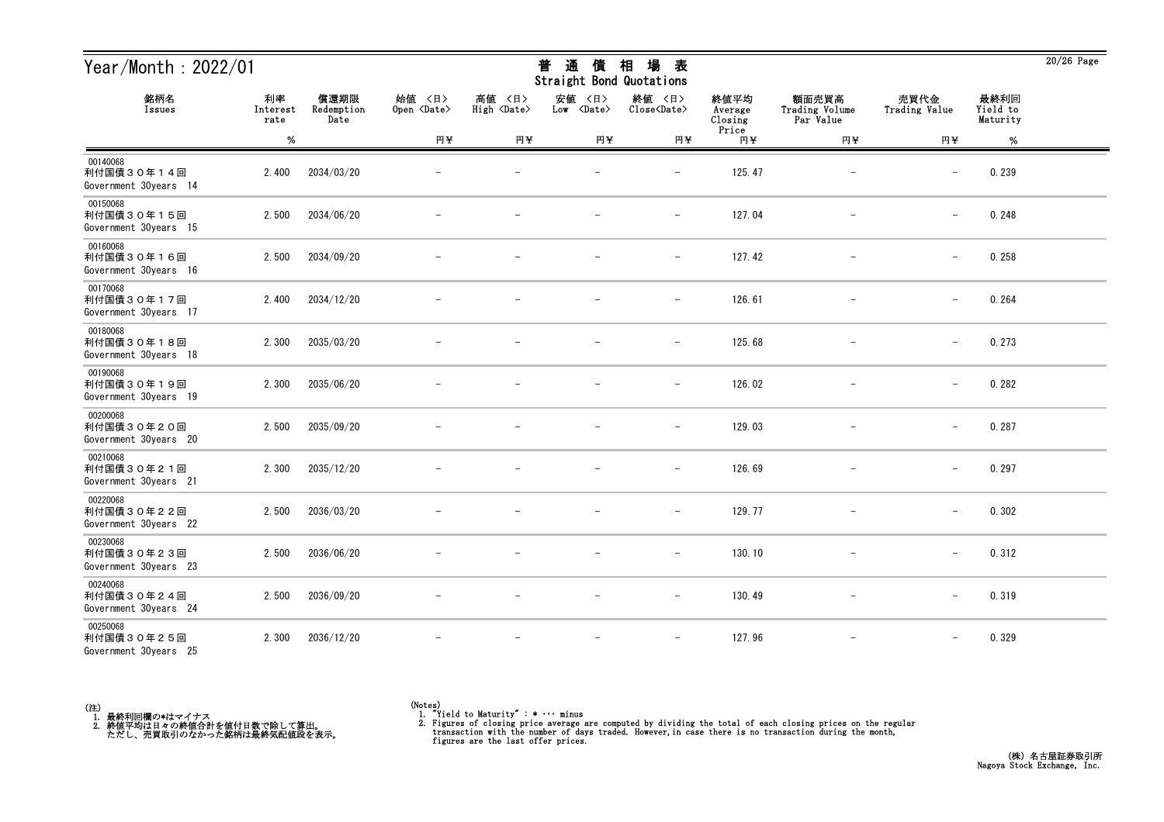| Year/Month: 2022/01                             |                        |                            |                              |                              | 普<br>通<br>債<br><b>Straight Bond Quotations</b> | 相<br>場<br>表                   |                            |                                      |                          |                              | $20/26$ Page |
|-------------------------------------------------|------------------------|----------------------------|------------------------------|------------------------------|------------------------------------------------|-------------------------------|----------------------------|--------------------------------------|--------------------------|------------------------------|--------------|
| 銘柄名<br>Issues                                   | 利率<br>Interest<br>rate | 償還期限<br>Redemption<br>Date | 始値 〈日〉<br>Open <date></date> | 高値 〈日〉<br>High <date></date> | 安値<br>〈日〉<br>Low <date></date>                 | 終値 〈日〉<br>Close <date></date> | 終値平均<br>Average<br>Closing | 額面売買高<br>Trading Volume<br>Par Value | 売買代金<br>Trading Value    | 最終利回<br>Yield to<br>Maturity |              |
|                                                 | $\%$                   |                            | 円半                           | 円半                           | 円半                                             | 円半                            | Price<br>円半                | 円半                                   | 円半                       | $\%$                         |              |
| 00140068<br>利付国債30年14回<br>Government 30years 14 | 2.400                  | 2034/03/20                 |                              |                              |                                                | $\qquad \qquad -$             | 125.47                     |                                      | $\overline{\phantom{m}}$ | 0.239                        |              |
| 00150068<br>利付国債30年15回<br>Government 30years 15 | 2.500                  | 2034/06/20                 |                              |                              |                                                | $\qquad \qquad -$             | 127.04                     |                                      | $\overline{\phantom{m}}$ | 0.248                        |              |
| 00160068<br>利付国債30年16回<br>Government 30years 16 | 2.500                  | 2034/09/20                 |                              |                              |                                                | $\overline{\phantom{a}}$      | 127.42                     |                                      | $\overline{\phantom{m}}$ | 0.258                        |              |
| 00170068<br>利付国債30年17回<br>Government 30years 17 | 2.400                  | 2034/12/20                 |                              |                              |                                                | $\overline{\phantom{a}}$      | 126.61                     |                                      | $\qquad \qquad -$        | 0.264                        |              |
| 00180068<br>利付国債30年18回<br>Government 30years 18 | 2.300                  | 2035/03/20                 |                              |                              |                                                | $\overline{\phantom{a}}$      | 125.68                     |                                      | $\overline{\phantom{0}}$ | 0.273                        |              |
| 00190068<br>利付国債30年19回<br>Government 30years 19 | 2.300                  | 2035/06/20                 |                              |                              |                                                | $\overline{\phantom{m}}$      | 126.02                     |                                      | $\overline{\phantom{m}}$ | 0.282                        |              |
| 00200068<br>利付国債30年20回<br>Government 30years 20 | 2.500                  | 2035/09/20                 |                              |                              |                                                | $\overline{\phantom{a}}$      | 129.03                     |                                      | $\qquad \qquad -$        | 0.287                        |              |
| 00210068<br>利付国債30年21回<br>Government 30years 21 | 2.300                  | 2035/12/20                 |                              |                              |                                                |                               | 126.69                     |                                      | $\overline{\phantom{m}}$ | 0.297                        |              |
| 00220068<br>利付国債30年22回<br>Government 30years 22 | 2.500                  | 2036/03/20                 |                              |                              |                                                | $\qquad \qquad -$             | 129.77                     |                                      | $\overline{\phantom{m}}$ | 0.302                        |              |
| 00230068<br>利付国債30年23回<br>Government 30years 23 | 2.500                  | 2036/06/20                 |                              |                              |                                                | $\overline{\phantom{m}}$      | 130.10                     |                                      | $\overline{\phantom{m}}$ | 0.312                        |              |
| 00240068<br>利付国債30年24回<br>Government 30years 24 | 2.500                  | 2036/09/20                 | $\overline{\phantom{m}}$     | $\overline{\phantom{a}}$     | $\overline{\phantom{m}}$                       | $ \,$                         | 130.49                     | $\overline{\phantom{m}}$             | $\overline{\phantom{0}}$ | 0.319                        |              |
| 00250068<br>利付国債30年25回<br>Government 30years 25 | 2.300                  | 2036/12/20                 |                              |                              |                                                | $\overline{\phantom{m}}$      | 127.96                     | $\overline{\phantom{0}}$             |                          | 0.329                        |              |



<sup>(</sup>Notes) 1. "Yield to Maturity" : \* ・・・ minus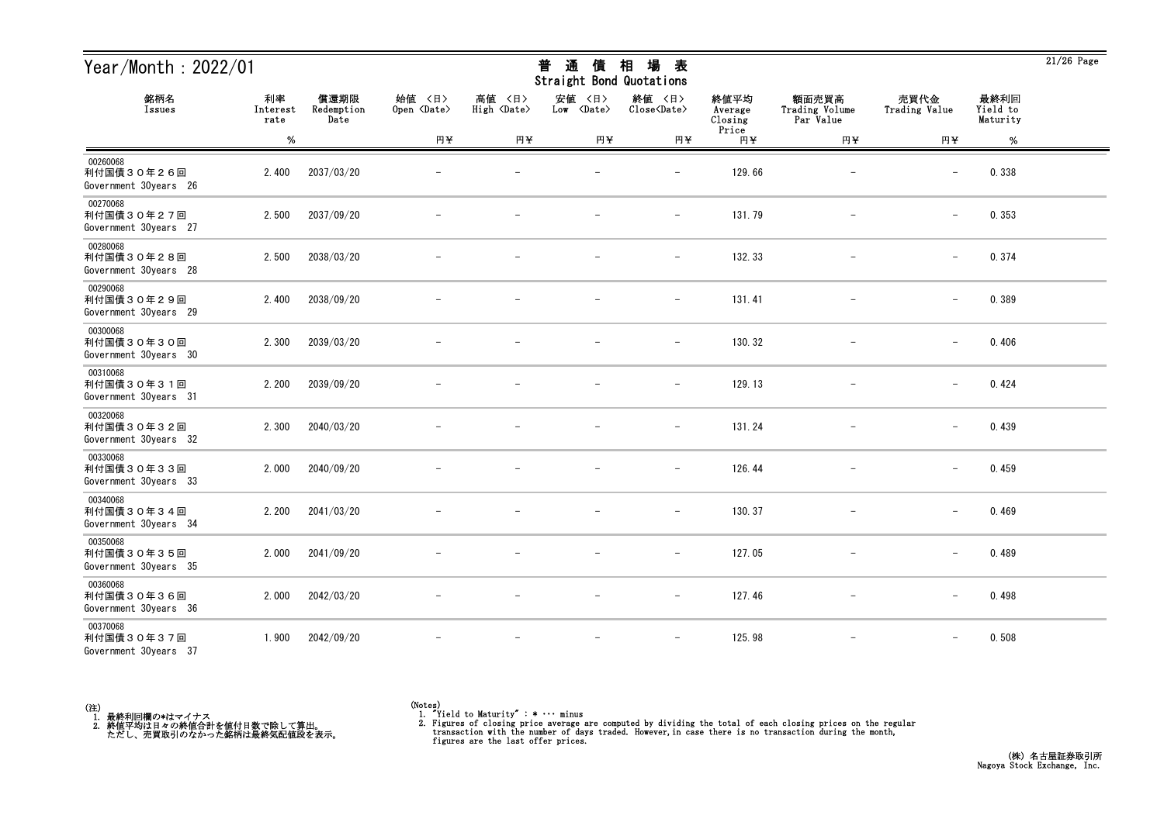| Year/Month: $2022/01$                           |                        |                            |                              |                                 | 普<br>通<br>債<br>Straight Bond Quotations | 場<br>相<br>表                   |                            |                                      |                          |                              | $21/26$ Page |
|-------------------------------------------------|------------------------|----------------------------|------------------------------|---------------------------------|-----------------------------------------|-------------------------------|----------------------------|--------------------------------------|--------------------------|------------------------------|--------------|
| 銘柄名<br>Issues                                   | 利率<br>Interest<br>rate | 償還期限<br>Redemption<br>Date | 始值 〈日〉<br>Open <date></date> | 高値<br>〈日〉<br>High <date></date> | 安値<br>〈日〉<br>Low <date></date>          | 終値 〈日〉<br>Close <date></date> | 終値平均<br>Average<br>Closing | 額面売買高<br>Trading Volume<br>Par Value | 売買代金<br>Trading Value    | 最終利回<br>Yield to<br>Maturity |              |
|                                                 | $\%$                   |                            | 円半                           | 円半                              | 円半                                      | 円半                            | Price<br>円半                | 円半                                   | 円半                       | %                            |              |
| 00260068<br>利付国債30年26回<br>Government 30years 26 | 2.400                  | 2037/03/20                 |                              |                                 |                                         | $\overline{\phantom{0}}$      | 129.66                     |                                      | $\overline{\phantom{m}}$ | 0.338                        |              |
| 00270068<br>利付国債30年27回<br>Government 30years 27 | 2.500                  | 2037/09/20                 |                              |                                 |                                         | $\qquad \qquad -$             | 131.79                     | $\qquad \qquad -$                    | $\overline{\phantom{m}}$ | 0.353                        |              |
| 00280068<br>利付国債30年28回<br>Government 30years 28 | 2.500                  | 2038/03/20                 |                              |                                 |                                         | $\overline{\phantom{m}}$      | 132.33                     |                                      | $\overline{\phantom{m}}$ | 0.374                        |              |
| 00290068<br>利付国債30年29回<br>Government 30years 29 | 2.400                  | 2038/09/20                 |                              |                                 |                                         | $\overline{\phantom{m}}$      | 131.41                     |                                      | $\qquad \qquad -$        | 0.389                        |              |
| 00300068<br>利付国債30年30回<br>Government 30years 30 | 2.300                  | 2039/03/20                 |                              |                                 |                                         | $\qquad \qquad -$             | 130.32                     |                                      | $\overline{\phantom{m}}$ | 0.406                        |              |
| 00310068<br>利付国債30年31回<br>Government 30years 31 | 2.200                  | 2039/09/20                 |                              |                                 |                                         | $\qquad \qquad -$             | 129.13                     | $\qquad \qquad -$                    | $\overline{\phantom{m}}$ | 0.424                        |              |
| 00320068<br>利付国債30年32回<br>Government 30years 32 | 2.300                  | 2040/03/20                 |                              |                                 |                                         | $\overline{\phantom{a}}$      | 131.24                     |                                      | $\overline{\phantom{m}}$ | 0.439                        |              |
| 00330068<br>利付国債30年33回<br>Government 30years 33 | 2.000                  | 2040/09/20                 |                              |                                 |                                         |                               | 126.44                     |                                      | $\overline{\phantom{m}}$ | 0.459                        |              |
| 00340068<br>利付国債30年34回<br>Government 30years 34 | 2.200                  | 2041/03/20                 |                              |                                 |                                         | $\overline{\phantom{0}}$      | 130.37                     |                                      | $\overline{\phantom{m}}$ | 0.469                        |              |
| 00350068<br>利付国債30年35回<br>Government 30years 35 | 2.000                  | 2041/09/20                 |                              |                                 |                                         | $\qquad \qquad -$             | 127.05                     |                                      | $\overline{\phantom{m}}$ | 0.489                        |              |
| 00360068<br>利付国債30年36回<br>Government 30years 36 | 2.000                  | 2042/03/20                 |                              |                                 | $\overline{\phantom{m}}$                | $-$                           | 127.46                     | $\overline{\phantom{m}}$             | $\qquad \qquad -$        | 0.498                        |              |
| 00370068<br>利付国債30年37回<br>Government 30years 37 | 1.900                  | 2042/09/20                 |                              |                                 |                                         |                               | 125.98                     |                                      |                          | 0.508                        |              |



 $21/26$  Page

### 普 通 債 相 場 表

<sup>(</sup>Notes) 1. "Yield to Maturity" : \* ・・・ minus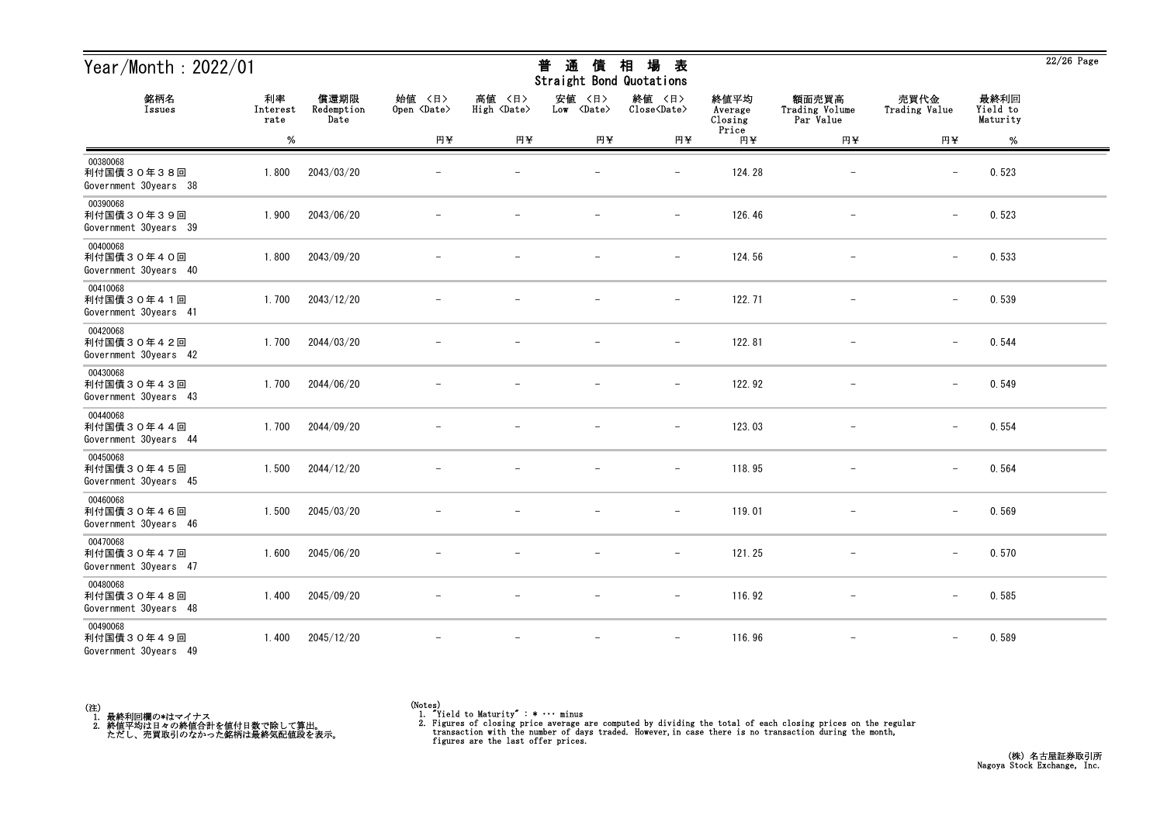| Year/Month: 2022/01                             |                        |                            |                              |                              | 通<br>普<br>債<br>Straight Bond Quotations | 場<br>相<br>表                   |                            |                                      |                          |                              | $22/26$ Page |
|-------------------------------------------------|------------------------|----------------------------|------------------------------|------------------------------|-----------------------------------------|-------------------------------|----------------------------|--------------------------------------|--------------------------|------------------------------|--------------|
| 銘柄名<br>Issues                                   | 利率<br>Interest<br>rate | 償還期限<br>Redemption<br>Date | 始值 〈日〉<br>Open <date></date> | 高値 〈日〉<br>High <date></date> | 安値<br>〈日〉<br>Low <date></date>          | 終値 〈日〉<br>Close <date></date> | 終値平均<br>Average<br>Closing | 額面売買高<br>Trading Volume<br>Par Value | 売買代金<br>Trading Value    | 最終利回<br>Yield to<br>Maturity |              |
|                                                 | $\%$                   |                            | 円半                           | 円半                           | 円半                                      | 円半                            | Price<br>円半                | 円半                                   | 円半                       | %                            |              |
| 00380068<br>利付国債30年38回<br>Government 30years 38 | 1.800                  | 2043/03/20                 |                              |                              |                                         |                               | 124.28                     |                                      |                          | 0.523                        |              |
| 00390068<br>利付国債30年39回<br>Government 30years 39 | 1.900                  | 2043/06/20                 |                              |                              |                                         | $\qquad \qquad -$             | 126.46                     | $\overline{\phantom{a}}$             | $\overline{\phantom{0}}$ | 0.523                        |              |
| 00400068<br>利付国債30年40回<br>Government 30years 40 | 1.800                  | 2043/09/20                 |                              |                              |                                         | $\overline{\phantom{m}}$      | 124.56                     |                                      | $\qquad \qquad -$        | 0.533                        |              |
| 00410068<br>利付国債30年41回<br>Government 30years 41 | 1.700                  | 2043/12/20                 |                              |                              |                                         | $\qquad \qquad -$             | 122.71                     |                                      | $\qquad \qquad -$        | 0.539                        |              |
| 00420068<br>利付国債30年42回<br>Government 30years 42 | 1.700                  | 2044/03/20                 |                              |                              |                                         | $\overline{\phantom{m}}$      | 122.81                     |                                      | $\overline{\phantom{m}}$ | 0.544                        |              |
| 00430068<br>利付国債30年43回<br>Government 30years 43 | 1.700                  | 2044/06/20                 |                              |                              |                                         | $\overline{\phantom{m}}$      | 122.92                     | $\overline{\phantom{m}}$             | $\qquad \qquad -$        | 0.549                        |              |
| 00440068<br>利付国債30年44回<br>Government 30years 44 | 1.700                  | 2044/09/20                 |                              |                              |                                         | $\overline{\phantom{a}}$      | 123.03                     | $\overline{\phantom{m}}$             | $\qquad \qquad -$        | 0.554                        |              |
| 00450068<br>利付国債30年45回<br>Government 30years 45 | 1.500                  | 2044/12/20                 |                              |                              |                                         | $\overline{\phantom{a}}$      | 118.95                     |                                      | $\qquad \qquad -$        | 0.564                        |              |
| 00460068<br>利付国債30年46回<br>Government 30years 46 | 1.500                  | 2045/03/20                 |                              |                              |                                         | $\overline{\phantom{0}}$      | 119.01                     |                                      | $\overline{\phantom{m}}$ | 0.569                        |              |
| 00470068<br>利付国債30年47回<br>Government 30years 47 | 1.600                  | 2045/06/20                 |                              |                              | $\overline{\phantom{m}}$                | $\overline{\phantom{a}}$      | 121.25                     | $\overline{\phantom{m}}$             | $\overline{\phantom{m}}$ | 0.570                        |              |
| 00480068<br>利付国債30年48回<br>Government 30years 48 | 1.400                  | 2045/09/20                 | $\overline{\phantom{m}}$     |                              | $\overline{\phantom{m}}$                | $-$                           | 116.92                     | $-$                                  | $\qquad \qquad -$        | 0.585                        |              |
| 00490068<br>利付国債30年49回<br>Government 30years 49 | 1.400                  | 2045/12/20                 |                              |                              | $\overline{\phantom{a}}$                | $\overline{\phantom{m}}$      | 116.96                     | $\overline{\phantom{m}}$             | $\qquad \qquad -$        | 0.589                        |              |



<sup>(</sup>Notes) 1. "Yield to Maturity" : \* ・・・ minus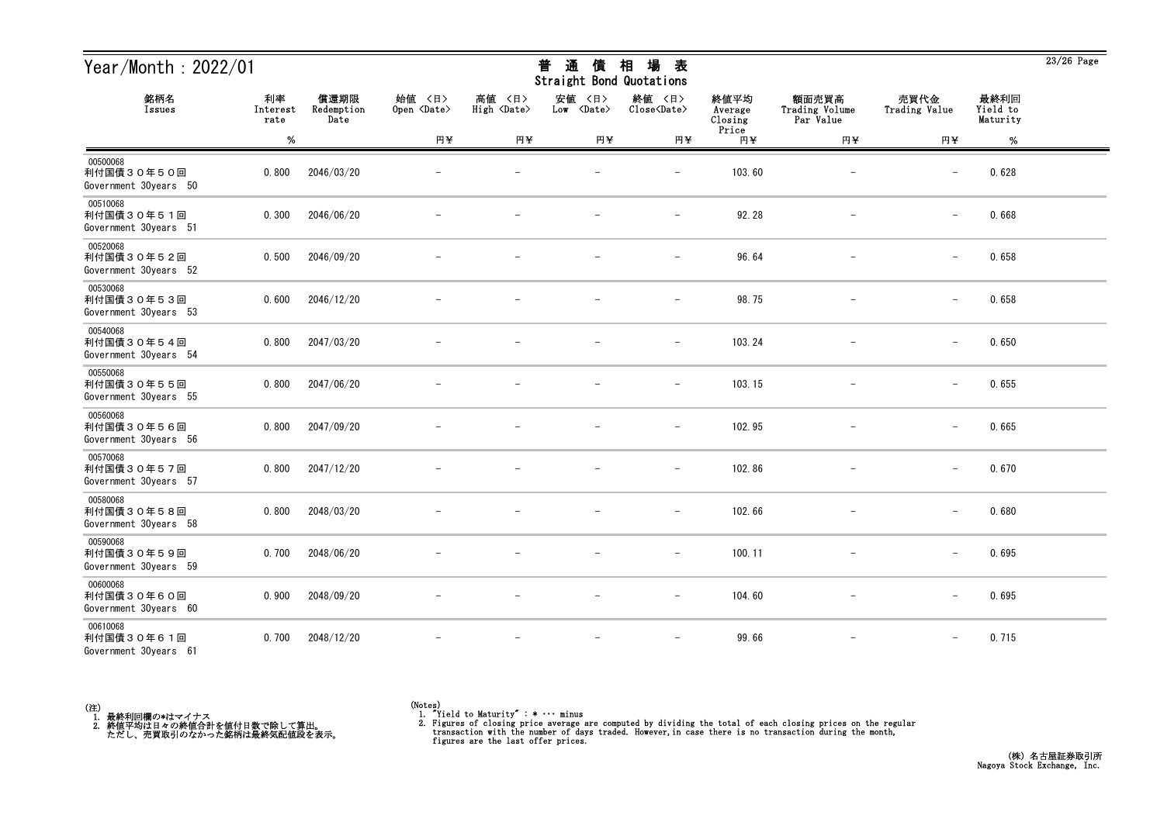| Year/Month: $2022/01$                           |                        |                            |                              |                                 | 普<br>通<br>債<br>Straight Bond Quotations | 場<br>相<br>表                   |                            |                                      |                          |                              | $23/26$ Page |
|-------------------------------------------------|------------------------|----------------------------|------------------------------|---------------------------------|-----------------------------------------|-------------------------------|----------------------------|--------------------------------------|--------------------------|------------------------------|--------------|
| 銘柄名<br>Issues                                   | 利率<br>Interest<br>rate | 償還期限<br>Redemption<br>Date | 始值 〈日〉<br>Open <date></date> | 高値<br>〈日〉<br>High <date></date> | 安値<br>〈日〉<br>Low <date></date>          | 終値 〈日〉<br>Close <date></date> | 終値平均<br>Average<br>Closing | 額面売買高<br>Trading Volume<br>Par Value | 売買代金<br>Trading Value    | 最終利回<br>Yield to<br>Maturity |              |
|                                                 | $\%$                   |                            | 円半                           | 円半                              | 円半                                      | 円半                            | Price<br>円半                | 円半                                   | 円半                       | %                            |              |
| 00500068<br>利付国債30年50回<br>Government 30years 50 | 0.800                  | 2046/03/20                 |                              |                                 |                                         | $\overline{\phantom{0}}$      | 103.60                     |                                      | $\overline{\phantom{m}}$ | 0.628                        |              |
| 00510068<br>利付国債30年51回<br>Government 30years 51 | 0.300                  | 2046/06/20                 |                              |                                 |                                         | $\overline{\phantom{0}}$      | 92.28                      |                                      | $\overline{\phantom{m}}$ | 0.668                        |              |
| 00520068<br>利付国債30年52回<br>Government 30years 52 | 0.500                  | 2046/09/20                 |                              |                                 |                                         | $\qquad \qquad -$             | 96.64                      |                                      | $\overline{\phantom{m}}$ | 0.658                        |              |
| 00530068<br>利付国債30年53回<br>Government 30years 53 | 0.600                  | 2046/12/20                 |                              |                                 |                                         | $\overline{\phantom{0}}$      | 98.75                      |                                      | $\overline{\phantom{0}}$ | 0.658                        |              |
| 00540068<br>利付国債30年54回<br>Government 30years 54 | 0.800                  | 2047/03/20                 |                              |                                 |                                         | $\qquad \qquad -$             | 103.24                     |                                      | $\overline{\phantom{m}}$ | 0.650                        |              |
| 00550068<br>利付国債30年55回<br>Government 30years 55 | 0.800                  | 2047/06/20                 |                              |                                 |                                         | $\qquad \qquad -$             | 103.15                     |                                      | $\overline{\phantom{m}}$ | 0.655                        |              |
| 00560068<br>利付国債30年56回<br>Government 30years 56 | 0.800                  | 2047/09/20                 |                              |                                 |                                         | $\overline{\phantom{a}}$      | 102.95                     |                                      | $\overline{\phantom{m}}$ | 0.665                        |              |
| 00570068<br>利付国債30年57回<br>Government 30years 57 | 0.800                  | 2047/12/20                 |                              |                                 |                                         |                               | 102.86                     |                                      | $\overline{\phantom{m}}$ | 0.670                        |              |
| 00580068<br>利付国債30年58回<br>Government 30years 58 | 0.800                  | 2048/03/20                 |                              |                                 |                                         | $\overline{\phantom{0}}$      | 102.66                     |                                      | $\overline{\phantom{m}}$ | 0.680                        |              |
| 00590068<br>利付国債30年59回<br>Government 30years 59 | 0.700                  | 2048/06/20                 |                              |                                 |                                         | $\qquad \qquad -$             | 100.11                     |                                      | $\overline{\phantom{m}}$ | 0.695                        |              |
| 00600068<br>利付国債30年60回<br>Government 30years 60 | 0.900                  | 2048/09/20                 |                              |                                 | $\overline{\phantom{m}}$                | $-$                           | 104.60                     | $-$                                  | $\overline{\phantom{0}}$ | 0.695                        |              |
| 00610068<br>利付国債30年61回<br>Government 30years 61 | 0.700                  | 2048/12/20                 |                              |                                 |                                         | $\overline{\phantom{a}}$      | 99.66                      |                                      | $\overline{\phantom{0}}$ | 0.715                        |              |



 $23/26$  Page

### 普 通 債 相 場 表

<sup>(</sup>Notes) 1. "Yield to Maturity" : \* ・・・ minus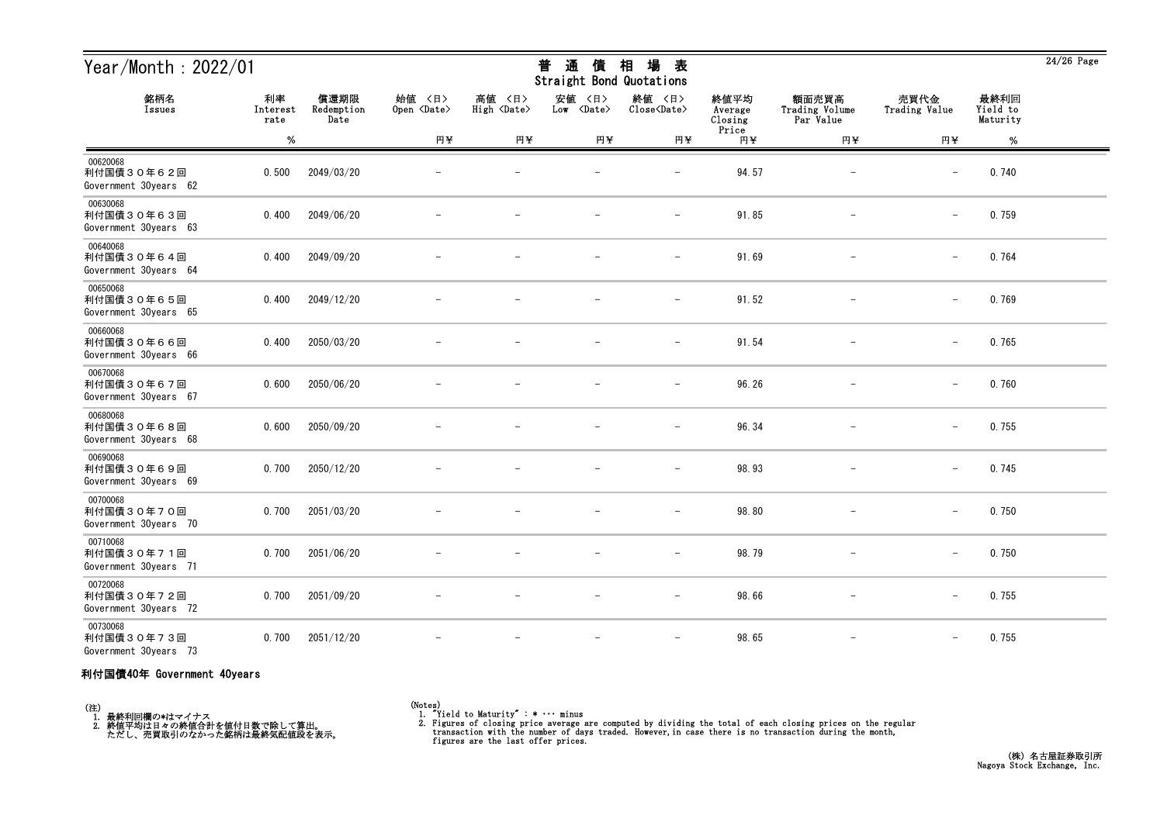| Year/Month: 2022/01                             |                        |                            |                              |                              | 通<br>普<br>債<br>Straight Bond Quotations | 場<br>相<br>表                   |                            |                                      |                          |                              | $24/26$ Page |
|-------------------------------------------------|------------------------|----------------------------|------------------------------|------------------------------|-----------------------------------------|-------------------------------|----------------------------|--------------------------------------|--------------------------|------------------------------|--------------|
| 銘柄名<br>Issues                                   | 利率<br>Interest<br>rate | 償還期限<br>Redemption<br>Date | 始值 〈日〉<br>Open <date></date> | 高値 〈日〉<br>High <date></date> | 安値<br>〈日〉<br>$Low \langle Date \rangle$ | 終値 〈日〉<br>Close <date></date> | 終値平均<br>Average<br>Closing | 額面売買高<br>Trading Volume<br>Par Value | 売買代金<br>Trading Value    | 最終利回<br>Yield to<br>Maturity |              |
|                                                 | $\%$                   |                            | 円半                           | 円半                           | 円半                                      | 円半                            | Price<br>円半                | 円半                                   | 円半                       | %                            |              |
| 00620068<br>利付国債30年62回<br>Government 30years 62 | 0.500                  | 2049/03/20                 |                              |                              |                                         | $\overline{\phantom{m}}$      | 94.57                      |                                      | $\overline{\phantom{m}}$ | 0.740                        |              |
| 00630068<br>利付国債30年63回<br>Government 30years 63 | 0.400                  | 2049/06/20                 |                              |                              |                                         | $\overline{\phantom{a}}$      | 91.85                      |                                      | $\overline{\phantom{m}}$ | 0.759                        |              |
| 00640068<br>利付国債30年64回<br>Government 30years 64 | 0.400                  | 2049/09/20                 |                              |                              |                                         | $\overline{\phantom{0}}$      | 91.69                      |                                      | $\overline{\phantom{m}}$ | 0.764                        |              |
| 00650068<br>利付国債30年65回<br>Government 30years 65 | 0.400                  | 2049/12/20                 |                              |                              |                                         | $\qquad \qquad -$             | 91.52                      |                                      | $\overline{\phantom{m}}$ | 0.769                        |              |
| 00660068<br>利付国債30年66回<br>Government 30years 66 | 0.400                  | 2050/03/20                 |                              |                              |                                         | $\overline{\phantom{a}}$      | 91.54                      |                                      | $\overline{\phantom{m}}$ | 0.765                        |              |
| 00670068<br>利付国債30年67回<br>Government 30years 67 | 0.600                  | 2050/06/20                 |                              |                              |                                         | $\qquad \qquad -$             | 96.26                      |                                      |                          | 0.760                        |              |
| 00680068<br>利付国債30年68回<br>Government 30years 68 | 0.600                  | 2050/09/20                 |                              |                              |                                         |                               | 96.34                      |                                      |                          | 0.755                        |              |
| 00690068<br>利付国債30年69回<br>Government 30years 69 | 0.700                  | 2050/12/20                 |                              |                              |                                         | $\qquad \qquad -$             | 98.93                      |                                      | $\overline{\phantom{m}}$ | 0.745                        |              |
| 00700068<br>利付国債30年70回<br>Government 30years 70 | 0.700                  | 2051/03/20                 |                              |                              |                                         | $\qquad \qquad -$             | 98.80                      |                                      | $\overline{\phantom{m}}$ | 0.750                        |              |
| 00710068<br>利付国債30年71回<br>Government 30years 71 | 0.700                  | 2051/06/20                 |                              |                              | $\overline{\phantom{m}}$                | $\overline{\phantom{m}}$      | 98.79                      |                                      | $\overline{\phantom{m}}$ | 0.750                        |              |
| 00720068<br>利付国債30年72回<br>Government 30years 72 | 0.700                  | 2051/09/20                 |                              |                              |                                         | $\qquad \qquad -$             | 98.66                      |                                      |                          | 0.755                        |              |
| 00730068<br>利付国債30年73回<br>Government 30years 73 | 0.700                  | 2051/12/20                 |                              |                              |                                         | $\overline{\phantom{m}}$      | 98.65                      | $\overline{\phantom{m}}$             | $-$                      | 0.755                        |              |

#### 利付国債40年 Government 40years

(注)<br>- 1.最終利回欄の\*はマイナス<br>- 2.終値平均は日々の終値合計を値付日数で除して算出。<br>- ただし、売買取引のなかった銘柄は最終気配値段を表示。

(Notes) 1. "Yield to Maturity" : \* ・・・ minus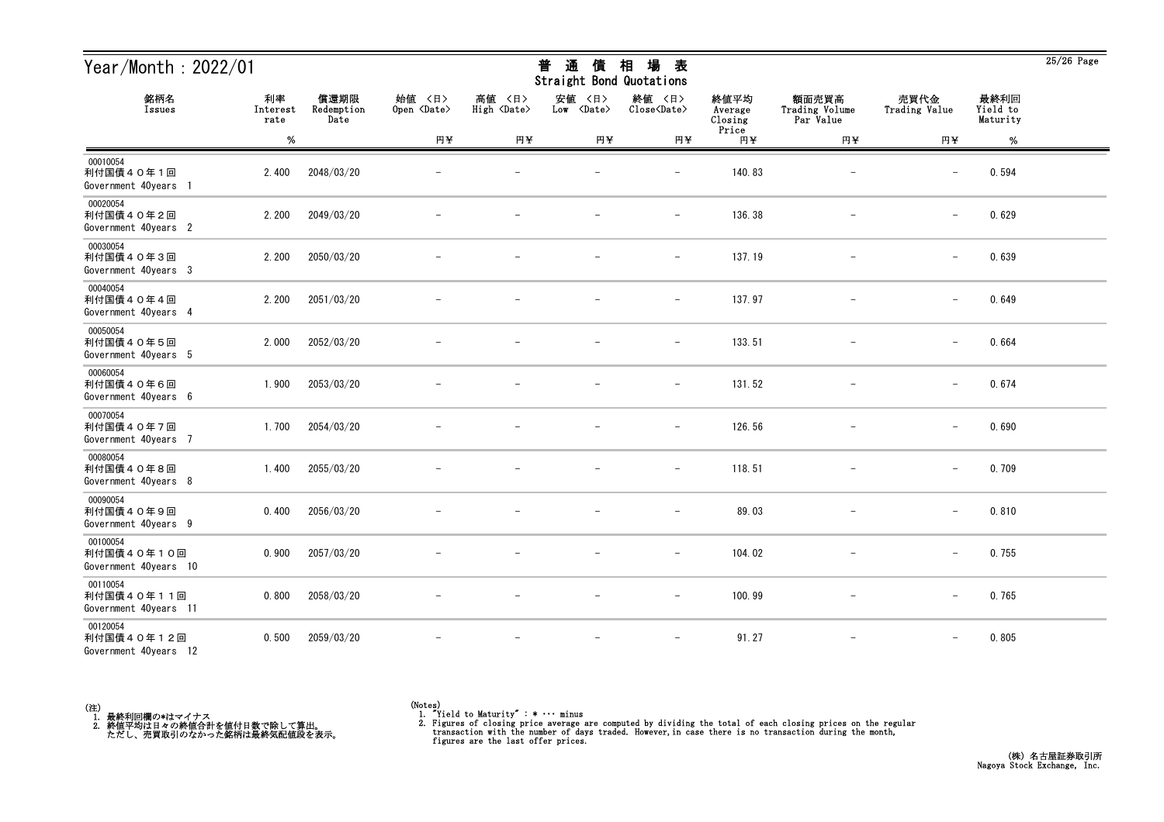| Year/Month: 2022/01                             | 場<br>通<br>相<br>普<br>債<br>表<br>Straight Bond Quotations |                            |                              |                              |                                |                               |                            | $25/26$ Page                         |                          |                              |  |
|-------------------------------------------------|--------------------------------------------------------|----------------------------|------------------------------|------------------------------|--------------------------------|-------------------------------|----------------------------|--------------------------------------|--------------------------|------------------------------|--|
| 銘柄名<br>Issues                                   | 利率<br>Interest<br>rate                                 | 償還期限<br>Redemption<br>Date | 始値 〈日〉<br>Open <date></date> | 高値 〈日〉<br>High <date></date> | 安値<br>〈日〉<br>Low <date></date> | 終値 〈日〉<br>Close <date></date> | 終値平均<br>Average<br>Closing | 額面売買高<br>Trading Volume<br>Par Value | 売買代金<br>Trading Value    | 最終利回<br>Yield to<br>Maturity |  |
|                                                 | %                                                      |                            | 円半                           | 円半                           | 円半                             | 円半                            | Price<br>円半                | 円半                                   | 円半                       | $\%$                         |  |
| 00010054<br>利付国債40年1回<br>Government 40years 1   | 2.400                                                  | 2048/03/20                 |                              |                              |                                | $\overline{\phantom{m}}$      | 140.83                     | $\overline{\phantom{m}}$             | $\overline{\phantom{m}}$ | 0.594                        |  |
| 00020054<br>利付国債40年2回<br>Government 40years 2   | 2.200                                                  | 2049/03/20                 |                              |                              |                                | $\overline{\phantom{m}}$      | 136.38                     | $\overline{\phantom{m}}$             | $\qquad \qquad -$        | 0.629                        |  |
| 00030054<br>利付国債40年3回<br>Government 40years 3   | 2.200                                                  | 2050/03/20                 |                              |                              |                                | $\overline{\phantom{m}}$      | 137.19                     |                                      | $\overline{\phantom{m}}$ | 0.639                        |  |
| 00040054<br>利付国債40年4回<br>Government 40years 4   | 2.200                                                  | 2051/03/20                 |                              |                              |                                | $\overline{\phantom{m}}$      | 137.97                     |                                      | $\overline{\phantom{m}}$ | 0.649                        |  |
| 00050054<br>利付国債40年5回<br>Government 40years 5   | 2.000                                                  | 2052/03/20                 |                              |                              |                                | $\overline{\phantom{m}}$      | 133.51                     |                                      | $\overline{\phantom{m}}$ | 0.664                        |  |
| 00060054<br>利付国債40年6回<br>Government 40years 6   | 1.900                                                  | 2053/03/20                 |                              |                              |                                | $\overline{\phantom{m}}$      | 131.52                     |                                      | $\overline{\phantom{m}}$ | 0.674                        |  |
| 00070054<br>利付国債40年7回<br>Government 40years 7   | 1.700                                                  | 2054/03/20                 |                              |                              |                                | $\overline{\phantom{0}}$      | 126.56                     |                                      | $\overline{\phantom{m}}$ | 0.690                        |  |
| 00080054<br>利付国債40年8回<br>Government 40years 8   | 1.400                                                  | 2055/03/20                 |                              |                              |                                |                               | 118.51                     |                                      | $\overline{\phantom{m}}$ | 0.709                        |  |
| 00090054<br>利付国債40年9回<br>Government 40years 9   | 0.400                                                  | 2056/03/20                 |                              |                              |                                |                               | 89.03                      |                                      | $\overline{\phantom{m}}$ | 0.810                        |  |
| 00100054<br>利付国債40年10回<br>Government 40years 10 | 0.900                                                  | 2057/03/20                 |                              |                              |                                | $\overline{\phantom{m}}$      | 104.02                     |                                      | $\qquad \qquad -$        | 0.755                        |  |
| 00110054<br>利付国債40年11回<br>Government 40years 11 | 0.800                                                  | 2058/03/20                 | $\overline{\phantom{m}}$     | $\overline{\phantom{m}}$     | $\overline{\phantom{m}}$       | $-$                           | 100.99                     | $\overline{\phantom{m}}$             | $-$                      | 0.765                        |  |
| 00120054<br>利付国債40年12回<br>Government 40years 12 | 0.500                                                  | 2059/03/20                 |                              |                              |                                | $\overline{\phantom{m}}$      | 91.27                      | $\overline{\phantom{m}}$             | $\qquad \qquad -$        | 0.805                        |  |



 $\overline{25/26}$  Page

<sup>(</sup>Notes) 1. "Yield to Maturity" : \* ・・・ minus